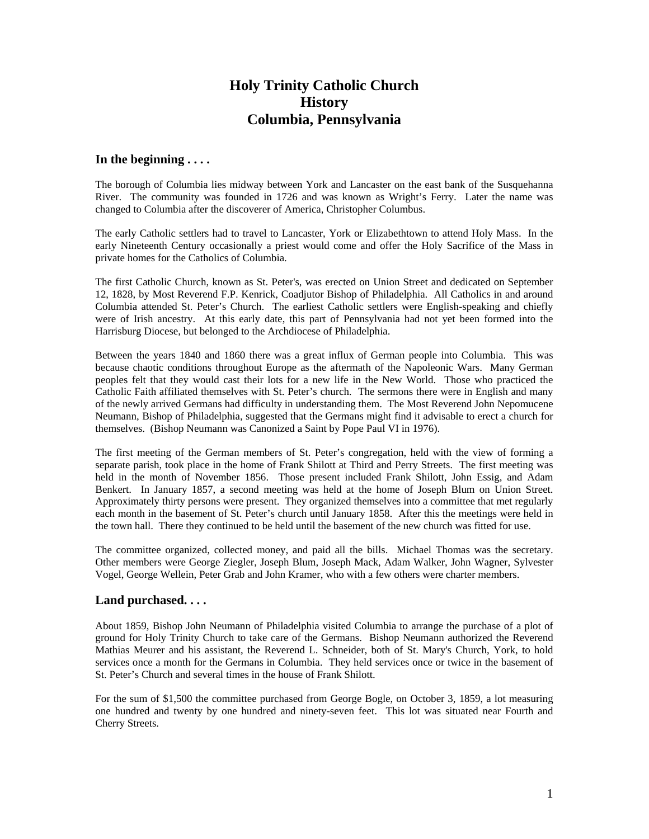# **Holy Trinity Catholic Church History Columbia, Pennsylvania**

### **In the beginning . . . .**

The borough of Columbia lies midway between York and Lancaster on the east bank of the Susquehanna River. The community was founded in 1726 and was known as Wright's Ferry. Later the name was changed to Columbia after the discoverer of America, Christopher Columbus.

The early Catholic settlers had to travel to Lancaster, York or Elizabethtown to attend Holy Mass. In the early Nineteenth Century occasionally a priest would come and offer the Holy Sacrifice of the Mass in private homes for the Catholics of Columbia.

The first Catholic Church, known as St. Peter's, was erected on Union Street and dedicated on September 12, 1828, by Most Reverend F.P. Kenrick, Coadjutor Bishop of Philadelphia. All Catholics in and around Columbia attended St. Peter's Church. The earliest Catholic settlers were English-speaking and chiefly were of Irish ancestry. At this early date, this part of Pennsylvania had not yet been formed into the Harrisburg Diocese, but belonged to the Archdiocese of Philadelphia.

Between the years 1840 and 1860 there was a great influx of German people into Columbia. This was because chaotic conditions throughout Europe as the aftermath of the Napoleonic Wars. Many German peoples felt that they would cast their lots for a new life in the New World. Those who practiced the Catholic Faith affiliated themselves with St. Peter's church. The sermons there were in English and many of the newly arrived Germans had difficulty in understanding them. The Most Reverend John Nepomucene Neumann, Bishop of Philadelphia, suggested that the Germans might find it advisable to erect a church for themselves. (Bishop Neumann was Canonized a Saint by Pope Paul VI in 1976).

The first meeting of the German members of St. Peter's congregation, held with the view of forming a separate parish, took place in the home of Frank Shilott at Third and Perry Streets. The first meeting was held in the month of November 1856. Those present included Frank Shilott, John Essig, and Adam Benkert. In January 1857, a second meeting was held at the home of Joseph Blum on Union Street. Approximately thirty persons were present. They organized themselves into a committee that met regularly each month in the basement of St. Peter's church until January 1858. After this the meetings were held in the town hall. There they continued to be held until the basement of the new church was fitted for use.

The committee organized, collected money, and paid all the bills. Michael Thomas was the secretary. Other members were George Ziegler, Joseph Blum, Joseph Mack, Adam Walker, John Wagner, Sylvester Vogel, George Wellein, Peter Grab and John Kramer, who with a few others were charter members.

### **Land purchased. . . .**

About 1859, Bishop John Neumann of Philadelphia visited Columbia to arrange the purchase of a plot of ground for Holy Trinity Church to take care of the Germans. Bishop Neumann authorized the Reverend Mathias Meurer and his assistant, the Reverend L. Schneider, both of St. Mary's Church, York, to hold services once a month for the Germans in Columbia. They held services once or twice in the basement of St. Peter's Church and several times in the house of Frank Shilott.

For the sum of \$1,500 the committee purchased from George Bogle, on October 3, 1859, a lot measuring one hundred and twenty by one hundred and ninety-seven feet. This lot was situated near Fourth and Cherry Streets.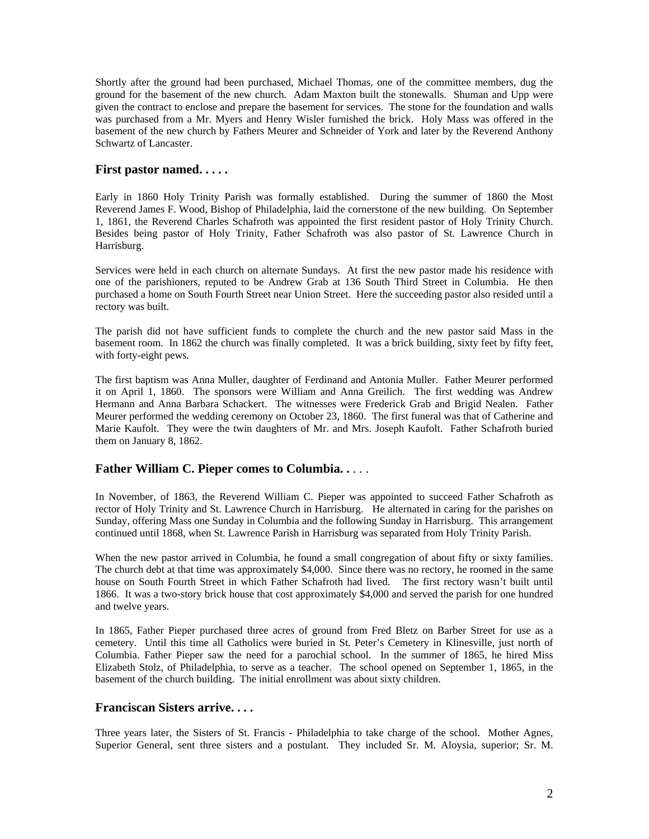Shortly after the ground had been purchased, Michael Thomas, one of the committee members, dug the ground for the basement of the new church. Adam Maxton built the stonewalls. Shuman and Upp were given the contract to enclose and prepare the basement for services. The stone for the foundation and walls was purchased from a Mr. Myers and Henry Wisler furnished the brick. Holy Mass was offered in the basement of the new church by Fathers Meurer and Schneider of York and later by the Reverend Anthony Schwartz of Lancaster.

### **First pastor named. . . . .**

Early in 1860 Holy Trinity Parish was formally established. During the summer of 1860 the Most Reverend James F. Wood, Bishop of Philadelphia, laid the cornerstone of the new building. On September 1, 1861, the Reverend Charles Schafroth was appointed the first resident pastor of Holy Trinity Church. Besides being pastor of Holy Trinity, Father Schafroth was also pastor of St. Lawrence Church in Harrisburg.

Services were held in each church on alternate Sundays. At first the new pastor made his residence with one of the parishioners, reputed to be Andrew Grab at 136 South Third Street in Columbia. He then purchased a home on South Fourth Street near Union Street. Here the succeeding pastor also resided until a rectory was built.

The parish did not have sufficient funds to complete the church and the new pastor said Mass in the basement room. In 1862 the church was finally completed. It was a brick building, sixty feet by fifty feet, with forty-eight pews.

The first baptism was Anna Muller, daughter of Ferdinand and Antonia Muller. Father Meurer performed it on April 1, 1860. The sponsors were William and Anna Greilich. The first wedding was Andrew Hermann and Anna Barbara Schackert. The witnesses were Frederick Grab and Brigid Nealen. Father Meurer performed the wedding ceremony on October 23, 1860. The first funeral was that of Catherine and Marie Kaufolt. They were the twin daughters of Mr. and Mrs. Joseph Kaufolt. Father Schafroth buried them on January 8, 1862.

# **Father William C. Pieper comes to Columbia. .** . . .

In November, of 1863, the Reverend William C. Pieper was appointed to succeed Father Schafroth as rector of Holy Trinity and St. Lawrence Church in Harrisburg. He alternated in caring for the parishes on Sunday, offering Mass one Sunday in Columbia and the following Sunday in Harrisburg. This arrangement continued until 1868, when St. Lawrence Parish in Harrisburg was separated from Holy Trinity Parish.

When the new pastor arrived in Columbia, he found a small congregation of about fifty or sixty families. The church debt at that time was approximately \$4,000. Since there was no rectory, he roomed in the same house on South Fourth Street in which Father Schafroth had lived. The first rectory wasn't built until 1866. It was a two-story brick house that cost approximately \$4,000 and served the parish for one hundred and twelve years.

In 1865, Father Pieper purchased three acres of ground from Fred Bletz on Barber Street for use as a cemetery. Until this time all Catholics were buried in St. Peter's Cemetery in Klinesville, just north of Columbia. Father Pieper saw the need for a parochial school. In the summer of 1865, he hired Miss Elizabeth Stolz, of Philadelphia, to serve as a teacher. The school opened on September 1, 1865, in the basement of the church building. The initial enrollment was about sixty children.

### **Franciscan Sisters arrive. . . .**

Three years later, the Sisters of St. Francis - Philadelphia to take charge of the school. Mother Agnes, Superior General, sent three sisters and a postulant. They included Sr. M. Aloysia, superior; Sr. M.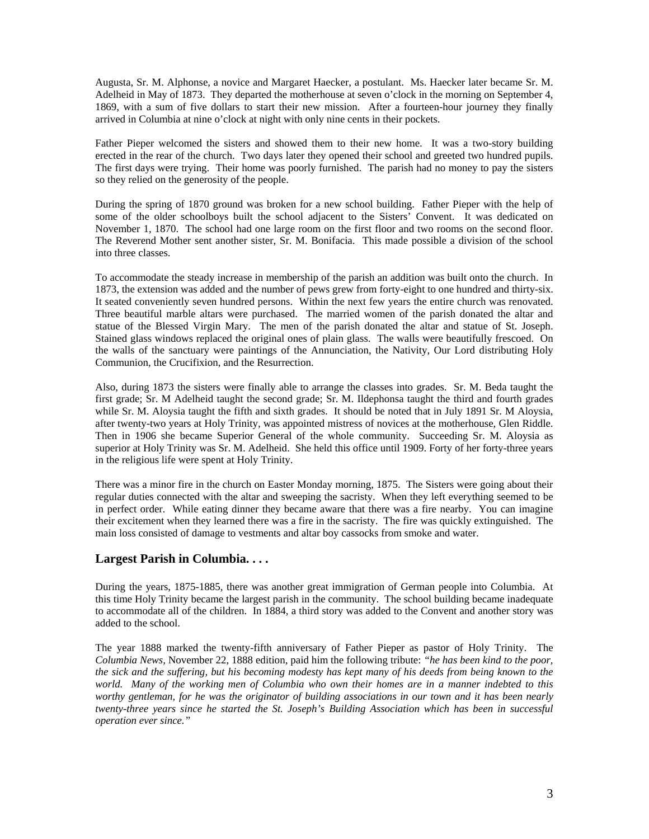Augusta, Sr. M. Alphonse, a novice and Margaret Haecker, a postulant. Ms. Haecker later became Sr. M. Adelheid in May of 1873. They departed the motherhouse at seven o'clock in the morning on September 4, 1869, with a sum of five dollars to start their new mission. After a fourteen-hour journey they finally arrived in Columbia at nine o'clock at night with only nine cents in their pockets.

Father Pieper welcomed the sisters and showed them to their new home. It was a two-story building erected in the rear of the church. Two days later they opened their school and greeted two hundred pupils. The first days were trying. Their home was poorly furnished. The parish had no money to pay the sisters so they relied on the generosity of the people.

During the spring of 1870 ground was broken for a new school building. Father Pieper with the help of some of the older schoolboys built the school adjacent to the Sisters' Convent. It was dedicated on November 1, 1870. The school had one large room on the first floor and two rooms on the second floor. The Reverend Mother sent another sister, Sr. M. Bonifacia. This made possible a division of the school into three classes.

To accommodate the steady increase in membership of the parish an addition was built onto the church. In 1873, the extension was added and the number of pews grew from forty-eight to one hundred and thirty-six. It seated conveniently seven hundred persons. Within the next few years the entire church was renovated. Three beautiful marble altars were purchased. The married women of the parish donated the altar and statue of the Blessed Virgin Mary. The men of the parish donated the altar and statue of St. Joseph. Stained glass windows replaced the original ones of plain glass. The walls were beautifully frescoed. On the walls of the sanctuary were paintings of the Annunciation, the Nativity, Our Lord distributing Holy Communion, the Crucifixion, and the Resurrection.

Also, during 1873 the sisters were finally able to arrange the classes into grades. Sr. M. Beda taught the first grade; Sr. M Adelheid taught the second grade; Sr. M. Ildephonsa taught the third and fourth grades while Sr. M. Aloysia taught the fifth and sixth grades. It should be noted that in July 1891 Sr. M Aloysia, after twenty-two years at Holy Trinity, was appointed mistress of novices at the motherhouse, Glen Riddle. Then in 1906 she became Superior General of the whole community. Succeeding Sr. M. Aloysia as superior at Holy Trinity was Sr. M. Adelheid. She held this office until 1909. Forty of her forty-three years in the religious life were spent at Holy Trinity.

There was a minor fire in the church on Easter Monday morning, 1875. The Sisters were going about their regular duties connected with the altar and sweeping the sacristy. When they left everything seemed to be in perfect order. While eating dinner they became aware that there was a fire nearby. You can imagine their excitement when they learned there was a fire in the sacristy. The fire was quickly extinguished. The main loss consisted of damage to vestments and altar boy cassocks from smoke and water.

# **Largest Parish in Columbia. . . .**

During the years, 1875-1885, there was another great immigration of German people into Columbia. At this time Holy Trinity became the largest parish in the community. The school building became inadequate to accommodate all of the children. In 1884, a third story was added to the Convent and another story was added to the school.

The year 1888 marked the twenty-fifth anniversary of Father Pieper as pastor of Holy Trinity. The *Columbia News,* November 22, 1888 edition, paid him the following tribute: *"he has been kind to the poor, the sick and the suffering, but his becoming modesty has kept many of his deeds from being known to the world. Many of the working men of Columbia who own their homes are in a manner indebted to this worthy gentleman, for he was the originator of building associations in our town and it has been nearly twenty-three years since he started the St. Joseph's Building Association which has been in successful operation ever since."*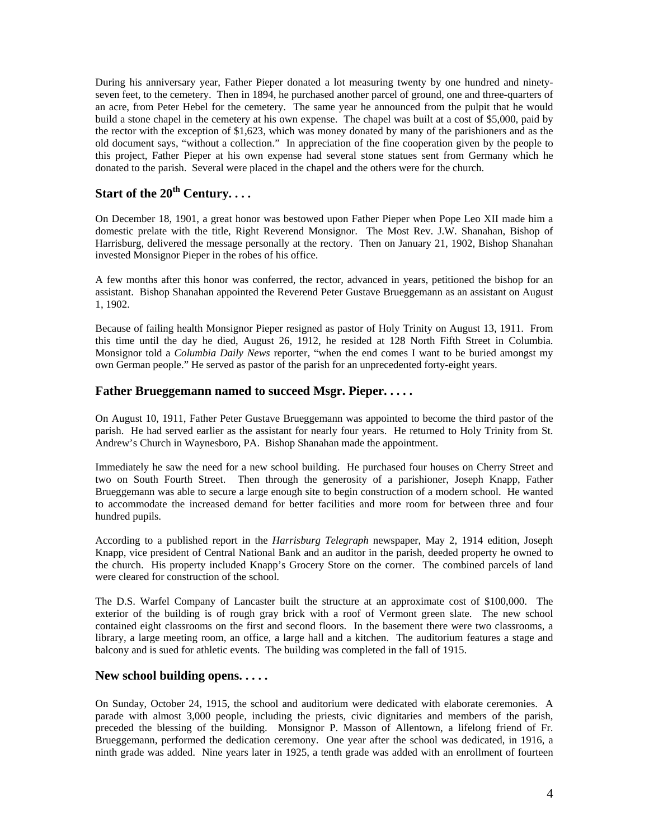During his anniversary year, Father Pieper donated a lot measuring twenty by one hundred and ninetyseven feet, to the cemetery. Then in 1894, he purchased another parcel of ground, one and three-quarters of an acre, from Peter Hebel for the cemetery. The same year he announced from the pulpit that he would build a stone chapel in the cemetery at his own expense. The chapel was built at a cost of \$5,000, paid by the rector with the exception of \$1,623, which was money donated by many of the parishioners and as the old document says, "without a collection." In appreciation of the fine cooperation given by the people to this project, Father Pieper at his own expense had several stone statues sent from Germany which he donated to the parish. Several were placed in the chapel and the others were for the church.

# **Start of the 20th Century. . . .**

On December 18, 1901, a great honor was bestowed upon Father Pieper when Pope Leo XII made him a domestic prelate with the title, Right Reverend Monsignor. The Most Rev. J.W. Shanahan, Bishop of Harrisburg, delivered the message personally at the rectory. Then on January 21, 1902, Bishop Shanahan invested Monsignor Pieper in the robes of his office.

A few months after this honor was conferred, the rector, advanced in years, petitioned the bishop for an assistant. Bishop Shanahan appointed the Reverend Peter Gustave Brueggemann as an assistant on August 1, 1902.

Because of failing health Monsignor Pieper resigned as pastor of Holy Trinity on August 13, 1911. From this time until the day he died, August 26, 1912, he resided at 128 North Fifth Street in Columbia. Monsignor told a *Columbia Daily News* reporter, "when the end comes I want to be buried amongst my own German people." He served as pastor of the parish for an unprecedented forty-eight years.

### **Father Brueggemann named to succeed Msgr. Pieper. . . . .**

On August 10, 1911, Father Peter Gustave Brueggemann was appointed to become the third pastor of the parish. He had served earlier as the assistant for nearly four years. He returned to Holy Trinity from St. Andrew's Church in Waynesboro, PA. Bishop Shanahan made the appointment.

Immediately he saw the need for a new school building. He purchased four houses on Cherry Street and two on South Fourth Street. Then through the generosity of a parishioner, Joseph Knapp, Father Brueggemann was able to secure a large enough site to begin construction of a modern school. He wanted to accommodate the increased demand for better facilities and more room for between three and four hundred pupils.

According to a published report in the *Harrisburg Telegraph* newspaper, May 2, 1914 edition, Joseph Knapp, vice president of Central National Bank and an auditor in the parish, deeded property he owned to the church. His property included Knapp's Grocery Store on the corner. The combined parcels of land were cleared for construction of the school.

The D.S. Warfel Company of Lancaster built the structure at an approximate cost of \$100,000. The exterior of the building is of rough gray brick with a roof of Vermont green slate. The new school contained eight classrooms on the first and second floors. In the basement there were two classrooms, a library, a large meeting room, an office, a large hall and a kitchen. The auditorium features a stage and balcony and is sued for athletic events. The building was completed in the fall of 1915.

### **New school building opens. . . . .**

On Sunday, October 24, 1915, the school and auditorium were dedicated with elaborate ceremonies. A parade with almost 3,000 people, including the priests, civic dignitaries and members of the parish, preceded the blessing of the building. Monsignor P. Masson of Allentown, a lifelong friend of Fr. Brueggemann, performed the dedication ceremony. One year after the school was dedicated, in 1916, a ninth grade was added. Nine years later in 1925, a tenth grade was added with an enrollment of fourteen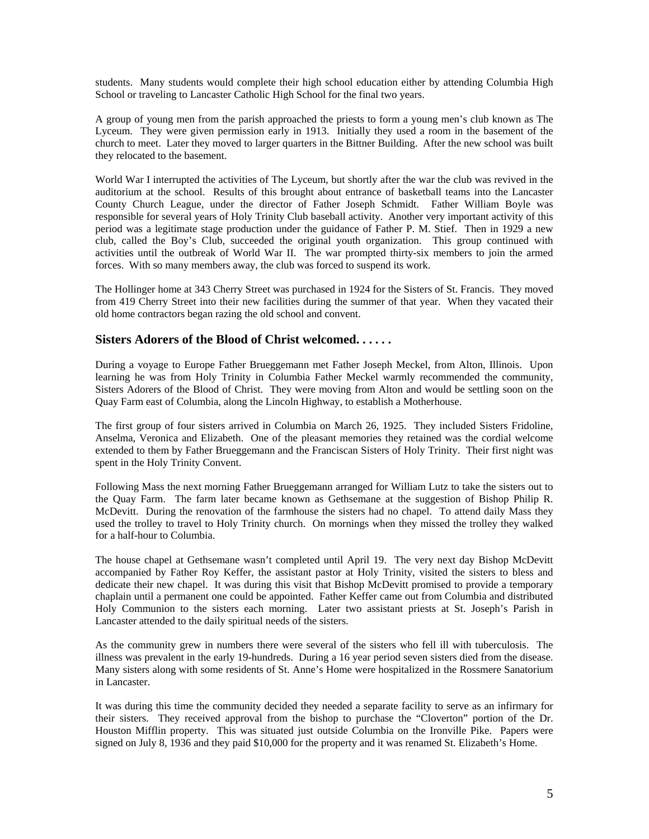students. Many students would complete their high school education either by attending Columbia High School or traveling to Lancaster Catholic High School for the final two years.

A group of young men from the parish approached the priests to form a young men's club known as The Lyceum. They were given permission early in 1913. Initially they used a room in the basement of the church to meet. Later they moved to larger quarters in the Bittner Building. After the new school was built they relocated to the basement.

World War I interrupted the activities of The Lyceum, but shortly after the war the club was revived in the auditorium at the school. Results of this brought about entrance of basketball teams into the Lancaster County Church League, under the director of Father Joseph Schmidt. Father William Boyle was responsible for several years of Holy Trinity Club baseball activity. Another very important activity of this period was a legitimate stage production under the guidance of Father P. M. Stief. Then in 1929 a new club, called the Boy's Club, succeeded the original youth organization. This group continued with activities until the outbreak of World War II. The war prompted thirty-six members to join the armed forces. With so many members away, the club was forced to suspend its work.

The Hollinger home at 343 Cherry Street was purchased in 1924 for the Sisters of St. Francis. They moved from 419 Cherry Street into their new facilities during the summer of that year. When they vacated their old home contractors began razing the old school and convent.

#### **Sisters Adorers of the Blood of Christ welcomed. . . . . .**

During a voyage to Europe Father Brueggemann met Father Joseph Meckel, from Alton, Illinois. Upon learning he was from Holy Trinity in Columbia Father Meckel warmly recommended the community, Sisters Adorers of the Blood of Christ. They were moving from Alton and would be settling soon on the Quay Farm east of Columbia, along the Lincoln Highway, to establish a Motherhouse.

The first group of four sisters arrived in Columbia on March 26, 1925. They included Sisters Fridoline, Anselma, Veronica and Elizabeth. One of the pleasant memories they retained was the cordial welcome extended to them by Father Brueggemann and the Franciscan Sisters of Holy Trinity. Their first night was spent in the Holy Trinity Convent.

Following Mass the next morning Father Brueggemann arranged for William Lutz to take the sisters out to the Quay Farm. The farm later became known as Gethsemane at the suggestion of Bishop Philip R. McDevitt. During the renovation of the farmhouse the sisters had no chapel. To attend daily Mass they used the trolley to travel to Holy Trinity church. On mornings when they missed the trolley they walked for a half-hour to Columbia.

The house chapel at Gethsemane wasn't completed until April 19. The very next day Bishop McDevitt accompanied by Father Roy Keffer, the assistant pastor at Holy Trinity, visited the sisters to bless and dedicate their new chapel. It was during this visit that Bishop McDevitt promised to provide a temporary chaplain until a permanent one could be appointed. Father Keffer came out from Columbia and distributed Holy Communion to the sisters each morning. Later two assistant priests at St. Joseph's Parish in Lancaster attended to the daily spiritual needs of the sisters.

As the community grew in numbers there were several of the sisters who fell ill with tuberculosis. The illness was prevalent in the early 19-hundreds. During a 16 year period seven sisters died from the disease. Many sisters along with some residents of St. Anne's Home were hospitalized in the Rossmere Sanatorium in Lancaster.

It was during this time the community decided they needed a separate facility to serve as an infirmary for their sisters. They received approval from the bishop to purchase the "Cloverton" portion of the Dr. Houston Mifflin property. This was situated just outside Columbia on the Ironville Pike. Papers were signed on July 8, 1936 and they paid \$10,000 for the property and it was renamed St. Elizabeth's Home.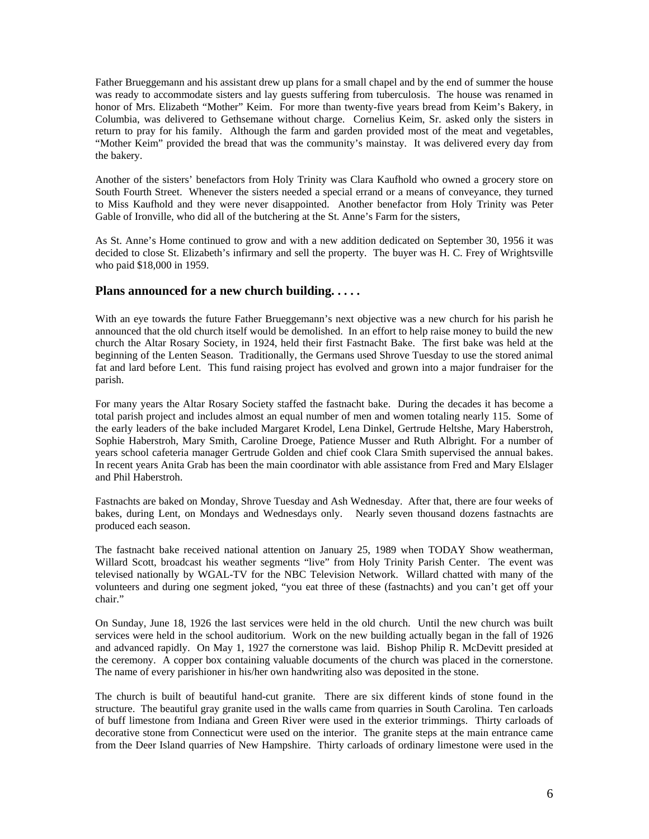Father Brueggemann and his assistant drew up plans for a small chapel and by the end of summer the house was ready to accommodate sisters and lay guests suffering from tuberculosis. The house was renamed in honor of Mrs. Elizabeth "Mother" Keim. For more than twenty-five years bread from Keim's Bakery, in Columbia, was delivered to Gethsemane without charge. Cornelius Keim, Sr. asked only the sisters in return to pray for his family. Although the farm and garden provided most of the meat and vegetables, "Mother Keim" provided the bread that was the community's mainstay. It was delivered every day from the bakery.

Another of the sisters' benefactors from Holy Trinity was Clara Kaufhold who owned a grocery store on South Fourth Street. Whenever the sisters needed a special errand or a means of conveyance, they turned to Miss Kaufhold and they were never disappointed. Another benefactor from Holy Trinity was Peter Gable of Ironville, who did all of the butchering at the St. Anne's Farm for the sisters,

As St. Anne's Home continued to grow and with a new addition dedicated on September 30, 1956 it was decided to close St. Elizabeth's infirmary and sell the property. The buyer was H. C. Frey of Wrightsville who paid \$18,000 in 1959.

### **Plans announced for a new church building. . . . .**

With an eye towards the future Father Brueggemann's next objective was a new church for his parish he announced that the old church itself would be demolished. In an effort to help raise money to build the new church the Altar Rosary Society, in 1924, held their first Fastnacht Bake. The first bake was held at the beginning of the Lenten Season. Traditionally, the Germans used Shrove Tuesday to use the stored animal fat and lard before Lent. This fund raising project has evolved and grown into a major fundraiser for the parish.

For many years the Altar Rosary Society staffed the fastnacht bake. During the decades it has become a total parish project and includes almost an equal number of men and women totaling nearly 115. Some of the early leaders of the bake included Margaret Krodel, Lena Dinkel, Gertrude Heltshe, Mary Haberstroh, Sophie Haberstroh, Mary Smith, Caroline Droege, Patience Musser and Ruth Albright. For a number of years school cafeteria manager Gertrude Golden and chief cook Clara Smith supervised the annual bakes. In recent years Anita Grab has been the main coordinator with able assistance from Fred and Mary Elslager and Phil Haberstroh.

Fastnachts are baked on Monday, Shrove Tuesday and Ash Wednesday. After that, there are four weeks of bakes, during Lent, on Mondays and Wednesdays only. Nearly seven thousand dozens fastnachts are produced each season.

The fastnacht bake received national attention on January 25, 1989 when TODAY Show weatherman, Willard Scott, broadcast his weather segments "live" from Holy Trinity Parish Center. The event was televised nationally by WGAL-TV for the NBC Television Network. Willard chatted with many of the volunteers and during one segment joked, "you eat three of these (fastnachts) and you can't get off your chair."

On Sunday, June 18, 1926 the last services were held in the old church. Until the new church was built services were held in the school auditorium. Work on the new building actually began in the fall of 1926 and advanced rapidly. On May 1, 1927 the cornerstone was laid. Bishop Philip R. McDevitt presided at the ceremony. A copper box containing valuable documents of the church was placed in the cornerstone. The name of every parishioner in his/her own handwriting also was deposited in the stone.

The church is built of beautiful hand-cut granite. There are six different kinds of stone found in the structure. The beautiful gray granite used in the walls came from quarries in South Carolina. Ten carloads of buff limestone from Indiana and Green River were used in the exterior trimmings. Thirty carloads of decorative stone from Connecticut were used on the interior. The granite steps at the main entrance came from the Deer Island quarries of New Hampshire. Thirty carloads of ordinary limestone were used in the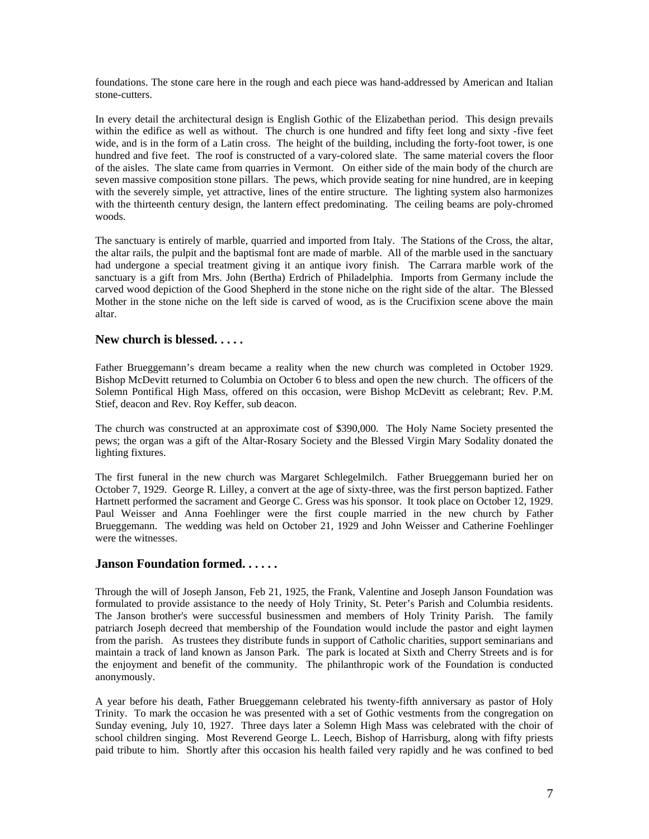foundations. The stone care here in the rough and each piece was hand-addressed by American and Italian stone-cutters.

In every detail the architectural design is English Gothic of the Elizabethan period. This design prevails within the edifice as well as without. The church is one hundred and fifty feet long and sixty -five feet wide, and is in the form of a Latin cross. The height of the building, including the forty-foot tower, is one hundred and five feet. The roof is constructed of a vary-colored slate. The same material covers the floor of the aisles. The slate came from quarries in Vermont. On either side of the main body of the church are seven massive composition stone pillars. The pews, which provide seating for nine hundred, are in keeping with the severely simple, yet attractive, lines of the entire structure. The lighting system also harmonizes with the thirteenth century design, the lantern effect predominating. The ceiling beams are poly-chromed woods.

The sanctuary is entirely of marble, quarried and imported from Italy. The Stations of the Cross, the altar, the altar rails, the pulpit and the baptismal font are made of marble. All of the marble used in the sanctuary had undergone a special treatment giving it an antique ivory finish. The Carrara marble work of the sanctuary is a gift from Mrs. John (Bertha) Erdrich of Philadelphia. Imports from Germany include the carved wood depiction of the Good Shepherd in the stone niche on the right side of the altar. The Blessed Mother in the stone niche on the left side is carved of wood, as is the Crucifixion scene above the main altar.

#### **New church is blessed. . . . .**

Father Brueggemann's dream became a reality when the new church was completed in October 1929. Bishop McDevitt returned to Columbia on October 6 to bless and open the new church. The officers of the Solemn Pontifical High Mass, offered on this occasion, were Bishop McDevitt as celebrant; Rev. P.M. Stief, deacon and Rev. Roy Keffer, sub deacon.

The church was constructed at an approximate cost of \$390,000. The Holy Name Society presented the pews; the organ was a gift of the Altar-Rosary Society and the Blessed Virgin Mary Sodality donated the lighting fixtures.

The first funeral in the new church was Margaret Schlegelmilch. Father Brueggemann buried her on October 7, 1929. George R. Lilley, a convert at the age of sixty-three, was the first person baptized. Father Hartnett performed the sacrament and George C. Gress was his sponsor. It took place on October 12, 1929. Paul Weisser and Anna Foehlinger were the first couple married in the new church by Father Brueggemann. The wedding was held on October 21, 1929 and John Weisser and Catherine Foehlinger were the witnesses.

### **Janson Foundation formed. . . . . .**

Through the will of Joseph Janson, Feb 21, 1925, the Frank, Valentine and Joseph Janson Foundation was formulated to provide assistance to the needy of Holy Trinity, St. Peter's Parish and Columbia residents. The Janson brother's were successful businessmen and members of Holy Trinity Parish. The family patriarch Joseph decreed that membership of the Foundation would include the pastor and eight laymen from the parish. As trustees they distribute funds in support of Catholic charities, support seminarians and maintain a track of land known as Janson Park. The park is located at Sixth and Cherry Streets and is for the enjoyment and benefit of the community. The philanthropic work of the Foundation is conducted anonymously.

A year before his death, Father Brueggemann celebrated his twenty-fifth anniversary as pastor of Holy Trinity. To mark the occasion he was presented with a set of Gothic vestments from the congregation on Sunday evening, July 10, 1927. Three days later a Solemn High Mass was celebrated with the choir of school children singing. Most Reverend George L. Leech, Bishop of Harrisburg, along with fifty priests paid tribute to him. Shortly after this occasion his health failed very rapidly and he was confined to bed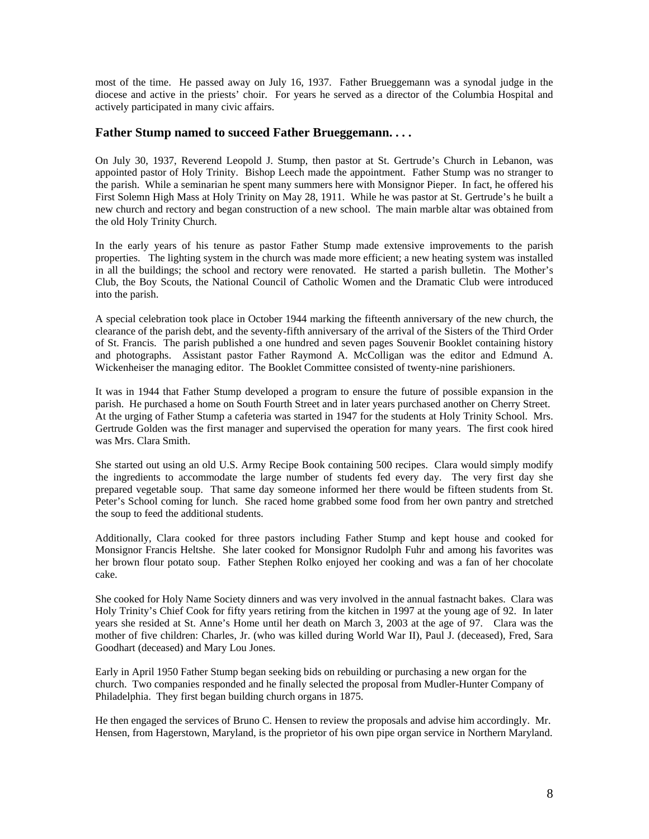most of the time. He passed away on July 16, 1937. Father Brueggemann was a synodal judge in the diocese and active in the priests' choir. For years he served as a director of the Columbia Hospital and actively participated in many civic affairs.

### **Father Stump named to succeed Father Brueggemann. . . .**

On July 30, 1937, Reverend Leopold J. Stump, then pastor at St. Gertrude's Church in Lebanon, was appointed pastor of Holy Trinity. Bishop Leech made the appointment. Father Stump was no stranger to the parish. While a seminarian he spent many summers here with Monsignor Pieper. In fact, he offered his First Solemn High Mass at Holy Trinity on May 28, 1911. While he was pastor at St. Gertrude's he built a new church and rectory and began construction of a new school. The main marble altar was obtained from the old Holy Trinity Church.

In the early years of his tenure as pastor Father Stump made extensive improvements to the parish properties. The lighting system in the church was made more efficient; a new heating system was installed in all the buildings; the school and rectory were renovated. He started a parish bulletin. The Mother's Club, the Boy Scouts, the National Council of Catholic Women and the Dramatic Club were introduced into the parish.

A special celebration took place in October 1944 marking the fifteenth anniversary of the new church, the clearance of the parish debt, and the seventy-fifth anniversary of the arrival of the Sisters of the Third Order of St. Francis. The parish published a one hundred and seven pages Souvenir Booklet containing history and photographs. Assistant pastor Father Raymond A. McColligan was the editor and Edmund A. Wickenheiser the managing editor. The Booklet Committee consisted of twenty-nine parishioners.

It was in 1944 that Father Stump developed a program to ensure the future of possible expansion in the parish. He purchased a home on South Fourth Street and in later years purchased another on Cherry Street. At the urging of Father Stump a cafeteria was started in 1947 for the students at Holy Trinity School. Mrs. Gertrude Golden was the first manager and supervised the operation for many years. The first cook hired was Mrs. Clara Smith.

She started out using an old U.S. Army Recipe Book containing 500 recipes. Clara would simply modify the ingredients to accommodate the large number of students fed every day. The very first day she prepared vegetable soup. That same day someone informed her there would be fifteen students from St. Peter's School coming for lunch. She raced home grabbed some food from her own pantry and stretched the soup to feed the additional students.

Additionally, Clara cooked for three pastors including Father Stump and kept house and cooked for Monsignor Francis Heltshe. She later cooked for Monsignor Rudolph Fuhr and among his favorites was her brown flour potato soup. Father Stephen Rolko enjoyed her cooking and was a fan of her chocolate cake.

She cooked for Holy Name Society dinners and was very involved in the annual fastnacht bakes. Clara was Holy Trinity's Chief Cook for fifty years retiring from the kitchen in 1997 at the young age of 92. In later years she resided at St. Anne's Home until her death on March 3, 2003 at the age of 97. Clara was the mother of five children: Charles, Jr. (who was killed during World War II), Paul J. (deceased), Fred, Sara Goodhart (deceased) and Mary Lou Jones.

Early in April 1950 Father Stump began seeking bids on rebuilding or purchasing a new organ for the church. Two companies responded and he finally selected the proposal from Mudler-Hunter Company of Philadelphia. They first began building church organs in 1875.

He then engaged the services of Bruno C. Hensen to review the proposals and advise him accordingly. Mr. Hensen, from Hagerstown, Maryland, is the proprietor of his own pipe organ service in Northern Maryland.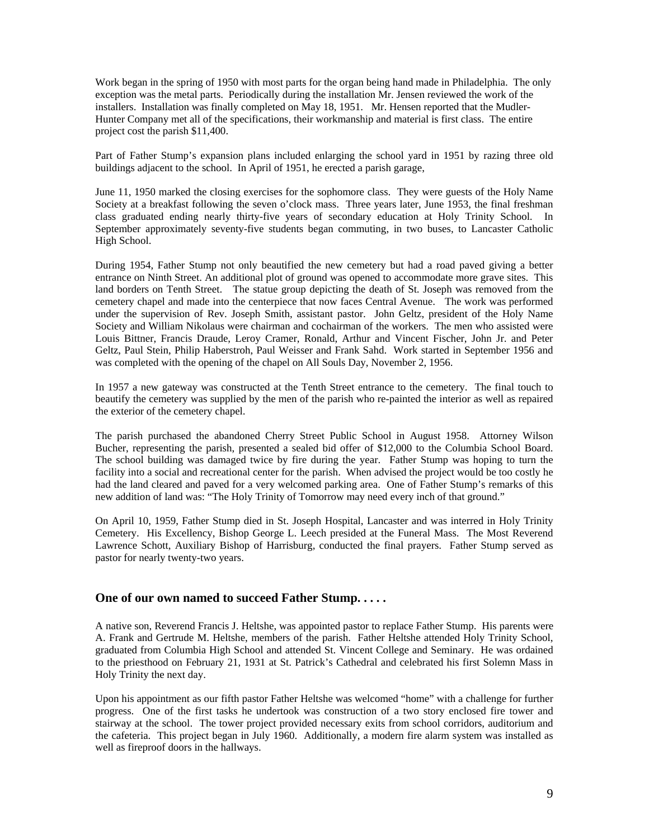Work began in the spring of 1950 with most parts for the organ being hand made in Philadelphia. The only exception was the metal parts. Periodically during the installation Mr. Jensen reviewed the work of the installers. Installation was finally completed on May 18, 1951. Mr. Hensen reported that the Mudler-Hunter Company met all of the specifications, their workmanship and material is first class. The entire project cost the parish \$11,400.

Part of Father Stump's expansion plans included enlarging the school yard in 1951 by razing three old buildings adjacent to the school. In April of 1951, he erected a parish garage,

June 11, 1950 marked the closing exercises for the sophomore class. They were guests of the Holy Name Society at a breakfast following the seven o'clock mass. Three years later, June 1953, the final freshman class graduated ending nearly thirty-five years of secondary education at Holy Trinity School. In September approximately seventy-five students began commuting, in two buses, to Lancaster Catholic High School.

During 1954, Father Stump not only beautified the new cemetery but had a road paved giving a better entrance on Ninth Street. An additional plot of ground was opened to accommodate more grave sites. This land borders on Tenth Street. The statue group depicting the death of St. Joseph was removed from the cemetery chapel and made into the centerpiece that now faces Central Avenue. The work was performed under the supervision of Rev. Joseph Smith, assistant pastor. John Geltz, president of the Holy Name Society and William Nikolaus were chairman and cochairman of the workers. The men who assisted were Louis Bittner, Francis Draude, Leroy Cramer, Ronald, Arthur and Vincent Fischer, John Jr. and Peter Geltz, Paul Stein, Philip Haberstroh, Paul Weisser and Frank Sahd. Work started in September 1956 and was completed with the opening of the chapel on All Souls Day, November 2, 1956.

In 1957 a new gateway was constructed at the Tenth Street entrance to the cemetery. The final touch to beautify the cemetery was supplied by the men of the parish who re-painted the interior as well as repaired the exterior of the cemetery chapel.

The parish purchased the abandoned Cherry Street Public School in August 1958. Attorney Wilson Bucher, representing the parish, presented a sealed bid offer of \$12,000 to the Columbia School Board. The school building was damaged twice by fire during the year. Father Stump was hoping to turn the facility into a social and recreational center for the parish. When advised the project would be too costly he had the land cleared and paved for a very welcomed parking area. One of Father Stump's remarks of this new addition of land was: "The Holy Trinity of Tomorrow may need every inch of that ground."

On April 10, 1959, Father Stump died in St. Joseph Hospital, Lancaster and was interred in Holy Trinity Cemetery. His Excellency, Bishop George L. Leech presided at the Funeral Mass. The Most Reverend Lawrence Schott, Auxiliary Bishop of Harrisburg, conducted the final prayers. Father Stump served as pastor for nearly twenty-two years.

#### **One of our own named to succeed Father Stump. . . . .**

A native son, Reverend Francis J. Heltshe, was appointed pastor to replace Father Stump. His parents were A. Frank and Gertrude M. Heltshe, members of the parish. Father Heltshe attended Holy Trinity School, graduated from Columbia High School and attended St. Vincent College and Seminary. He was ordained to the priesthood on February 21, 1931 at St. Patrick's Cathedral and celebrated his first Solemn Mass in Holy Trinity the next day.

Upon his appointment as our fifth pastor Father Heltshe was welcomed "home" with a challenge for further progress. One of the first tasks he undertook was construction of a two story enclosed fire tower and stairway at the school. The tower project provided necessary exits from school corridors, auditorium and the cafeteria. This project began in July 1960. Additionally, a modern fire alarm system was installed as well as fireproof doors in the hallways.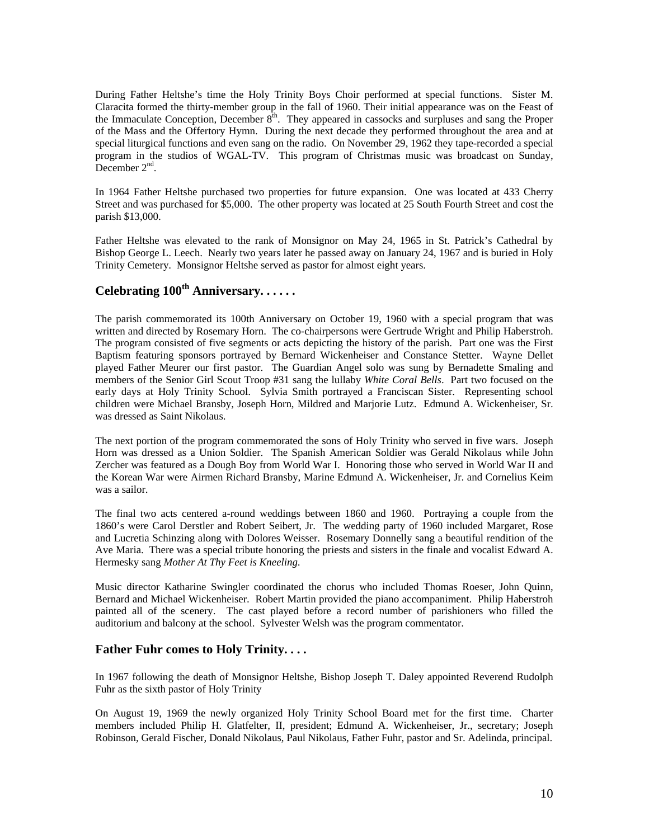During Father Heltshe's time the Holy Trinity Boys Choir performed at special functions. Sister M. Claracita formed the thirty-member group in the fall of 1960. Their initial appearance was on the Feast of the Immaculate Conception, December  $8<sup>th</sup>$ . They appeared in cassocks and surpluses and sang the Proper of the Mass and the Offertory Hymn. During the next decade they performed throughout the area and at special liturgical functions and even sang on the radio. On November 29, 1962 they tape-recorded a special program in the studios of WGAL-TV. This program of Christmas music was broadcast on Sunday, December  $2<sup>nd</sup>$ .

In 1964 Father Heltshe purchased two properties for future expansion. One was located at 433 Cherry Street and was purchased for \$5,000. The other property was located at 25 South Fourth Street and cost the parish \$13,000.

Father Heltshe was elevated to the rank of Monsignor on May 24, 1965 in St. Patrick's Cathedral by Bishop George L. Leech. Nearly two years later he passed away on January 24, 1967 and is buried in Holy Trinity Cemetery. Monsignor Heltshe served as pastor for almost eight years.

# **Celebrating 100th Anniversary. . . . . .**

The parish commemorated its 100th Anniversary on October 19, 1960 with a special program that was written and directed by Rosemary Horn. The co-chairpersons were Gertrude Wright and Philip Haberstroh. The program consisted of five segments or acts depicting the history of the parish. Part one was the First Baptism featuring sponsors portrayed by Bernard Wickenheiser and Constance Stetter. Wayne Dellet played Father Meurer our first pastor. The Guardian Angel solo was sung by Bernadette Smaling and members of the Senior Girl Scout Troop #31 sang the lullaby *White Coral Bells*. Part two focused on the early days at Holy Trinity School. Sylvia Smith portrayed a Franciscan Sister. Representing school children were Michael Bransby, Joseph Horn, Mildred and Marjorie Lutz. Edmund A. Wickenheiser, Sr. was dressed as Saint Nikolaus.

The next portion of the program commemorated the sons of Holy Trinity who served in five wars. Joseph Horn was dressed as a Union Soldier. The Spanish American Soldier was Gerald Nikolaus while John Zercher was featured as a Dough Boy from World War I. Honoring those who served in World War II and the Korean War were Airmen Richard Bransby, Marine Edmund A. Wickenheiser, Jr. and Cornelius Keim was a sailor.

The final two acts centered a-round weddings between 1860 and 1960. Portraying a couple from the 1860's were Carol Derstler and Robert Seibert, Jr. The wedding party of 1960 included Margaret, Rose and Lucretia Schinzing along with Dolores Weisser. Rosemary Donnelly sang a beautiful rendition of the Ave Maria. There was a special tribute honoring the priests and sisters in the finale and vocalist Edward A. Hermesky sang *Mother At Thy Feet is Kneeling*.

Music director Katharine Swingler coordinated the chorus who included Thomas Roeser, John Quinn, Bernard and Michael Wickenheiser. Robert Martin provided the piano accompaniment. Philip Haberstroh painted all of the scenery. The cast played before a record number of parishioners who filled the auditorium and balcony at the school. Sylvester Welsh was the program commentator.

### **Father Fuhr comes to Holy Trinity. . . .**

In 1967 following the death of Monsignor Heltshe, Bishop Joseph T. Daley appointed Reverend Rudolph Fuhr as the sixth pastor of Holy Trinity

On August 19, 1969 the newly organized Holy Trinity School Board met for the first time. Charter members included Philip H. Glatfelter, II, president; Edmund A. Wickenheiser, Jr., secretary; Joseph Robinson, Gerald Fischer, Donald Nikolaus, Paul Nikolaus, Father Fuhr, pastor and Sr. Adelinda, principal.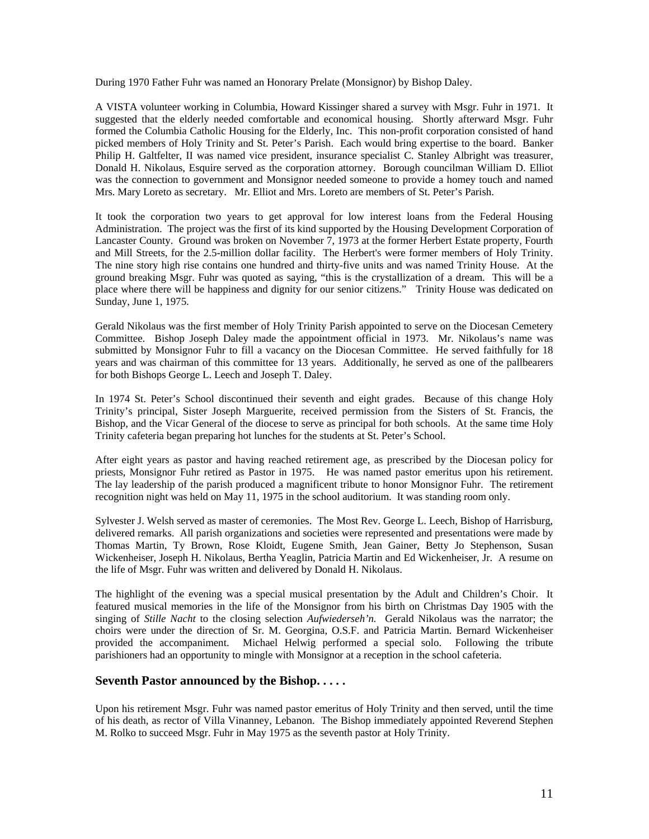During 1970 Father Fuhr was named an Honorary Prelate (Monsignor) by Bishop Daley.

A VISTA volunteer working in Columbia, Howard Kissinger shared a survey with Msgr. Fuhr in 1971. It suggested that the elderly needed comfortable and economical housing. Shortly afterward Msgr. Fuhr formed the Columbia Catholic Housing for the Elderly, Inc. This non-profit corporation consisted of hand picked members of Holy Trinity and St. Peter's Parish. Each would bring expertise to the board. Banker Philip H. Galtfelter, II was named vice president, insurance specialist C. Stanley Albright was treasurer, Donald H. Nikolaus, Esquire served as the corporation attorney. Borough councilman William D. Elliot was the connection to government and Monsignor needed someone to provide a homey touch and named Mrs. Mary Loreto as secretary. Mr. Elliot and Mrs. Loreto are members of St. Peter's Parish.

It took the corporation two years to get approval for low interest loans from the Federal Housing Administration. The project was the first of its kind supported by the Housing Development Corporation of Lancaster County. Ground was broken on November 7, 1973 at the former Herbert Estate property, Fourth and Mill Streets, for the 2.5-million dollar facility. The Herbert's were former members of Holy Trinity. The nine story high rise contains one hundred and thirty-five units and was named Trinity House. At the ground breaking Msgr. Fuhr was quoted as saying, "this is the crystallization of a dream. This will be a place where there will be happiness and dignity for our senior citizens." Trinity House was dedicated on Sunday, June 1, 1975.

Gerald Nikolaus was the first member of Holy Trinity Parish appointed to serve on the Diocesan Cemetery Committee. Bishop Joseph Daley made the appointment official in 1973. Mr. Nikolaus's name was submitted by Monsignor Fuhr to fill a vacancy on the Diocesan Committee. He served faithfully for 18 years and was chairman of this committee for 13 years. Additionally, he served as one of the pallbearers for both Bishops George L. Leech and Joseph T. Daley.

In 1974 St. Peter's School discontinued their seventh and eight grades. Because of this change Holy Trinity's principal, Sister Joseph Marguerite, received permission from the Sisters of St. Francis, the Bishop, and the Vicar General of the diocese to serve as principal for both schools. At the same time Holy Trinity cafeteria began preparing hot lunches for the students at St. Peter's School.

After eight years as pastor and having reached retirement age, as prescribed by the Diocesan policy for priests, Monsignor Fuhr retired as Pastor in 1975. He was named pastor emeritus upon his retirement. The lay leadership of the parish produced a magnificent tribute to honor Monsignor Fuhr. The retirement recognition night was held on May 11, 1975 in the school auditorium. It was standing room only.

Sylvester J. Welsh served as master of ceremonies. The Most Rev. George L. Leech, Bishop of Harrisburg, delivered remarks. All parish organizations and societies were represented and presentations were made by Thomas Martin, Ty Brown, Rose Kloidt, Eugene Smith, Jean Gainer, Betty Jo Stephenson, Susan Wickenheiser, Joseph H. Nikolaus, Bertha Yeaglin, Patricia Martin and Ed Wickenheiser, Jr. A resume on the life of Msgr. Fuhr was written and delivered by Donald H. Nikolaus.

The highlight of the evening was a special musical presentation by the Adult and Children's Choir. It featured musical memories in the life of the Monsignor from his birth on Christmas Day 1905 with the singing of *Stille Nacht* to the closing selection *Aufwiederseh'n.* Gerald Nikolaus was the narrator; the choirs were under the direction of Sr. M. Georgina, O.S.F. and Patricia Martin. Bernard Wickenheiser provided the accompaniment. Michael Helwig performed a special solo. Following the tribute parishioners had an opportunity to mingle with Monsignor at a reception in the school cafeteria.

### **Seventh Pastor announced by the Bishop. . . . .**

Upon his retirement Msgr. Fuhr was named pastor emeritus of Holy Trinity and then served, until the time of his death, as rector of Villa Vinanney, Lebanon. The Bishop immediately appointed Reverend Stephen M. Rolko to succeed Msgr. Fuhr in May 1975 as the seventh pastor at Holy Trinity.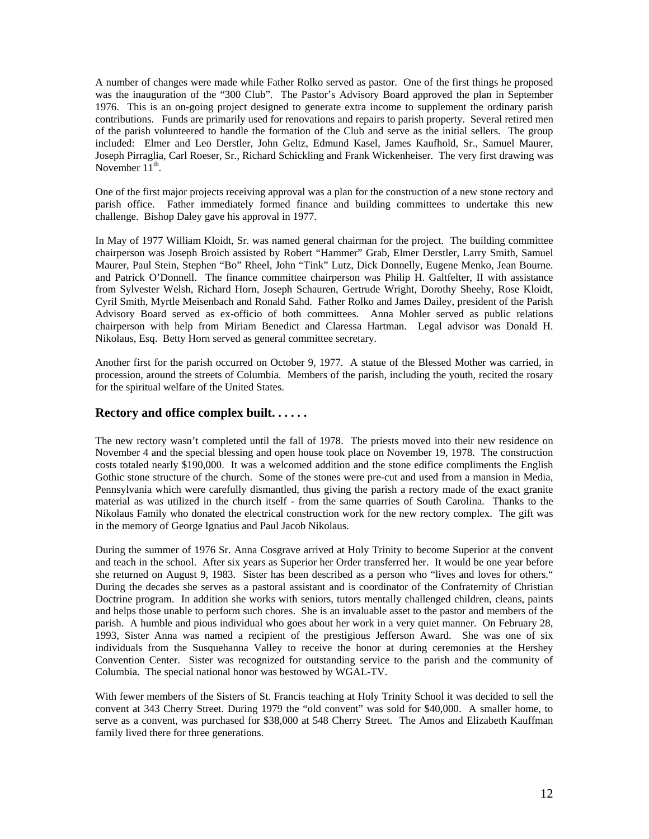A number of changes were made while Father Rolko served as pastor. One of the first things he proposed was the inauguration of the "300 Club". The Pastor's Advisory Board approved the plan in September 1976. This is an on-going project designed to generate extra income to supplement the ordinary parish contributions. Funds are primarily used for renovations and repairs to parish property. Several retired men of the parish volunteered to handle the formation of the Club and serve as the initial sellers. The group included: Elmer and Leo Derstler, John Geltz, Edmund Kasel, James Kaufhold, Sr., Samuel Maurer, Joseph Pirraglia, Carl Roeser, Sr., Richard Schickling and Frank Wickenheiser. The very first drawing was November  $11^{th}$ .

One of the first major projects receiving approval was a plan for the construction of a new stone rectory and parish office. Father immediately formed finance and building committees to undertake this new challenge. Bishop Daley gave his approval in 1977.

In May of 1977 William Kloidt, Sr. was named general chairman for the project. The building committee chairperson was Joseph Broich assisted by Robert "Hammer" Grab, Elmer Derstler, Larry Smith, Samuel Maurer, Paul Stein, Stephen "Bo" Rheel, John "Tink" Lutz, Dick Donnelly, Eugene Menko, Jean Bourne. and Patrick O'Donnell. The finance committee chairperson was Philip H. Galtfelter, II with assistance from Sylvester Welsh, Richard Horn, Joseph Schauren, Gertrude Wright, Dorothy Sheehy, Rose Kloidt, Cyril Smith, Myrtle Meisenbach and Ronald Sahd. Father Rolko and James Dailey, president of the Parish Advisory Board served as ex-officio of both committees. Anna Mohler served as public relations chairperson with help from Miriam Benedict and Claressa Hartman. Legal advisor was Donald H. Nikolaus, Esq. Betty Horn served as general committee secretary.

Another first for the parish occurred on October 9, 1977. A statue of the Blessed Mother was carried, in procession, around the streets of Columbia. Members of the parish, including the youth, recited the rosary for the spiritual welfare of the United States.

### **Rectory and office complex built. . . . . .**

The new rectory wasn't completed until the fall of 1978. The priests moved into their new residence on November 4 and the special blessing and open house took place on November 19, 1978. The construction costs totaled nearly \$190,000. It was a welcomed addition and the stone edifice compliments the English Gothic stone structure of the church. Some of the stones were pre-cut and used from a mansion in Media, Pennsylvania which were carefully dismantled, thus giving the parish a rectory made of the exact granite material as was utilized in the church itself - from the same quarries of South Carolina. Thanks to the Nikolaus Family who donated the electrical construction work for the new rectory complex. The gift was in the memory of George Ignatius and Paul Jacob Nikolaus.

During the summer of 1976 Sr. Anna Cosgrave arrived at Holy Trinity to become Superior at the convent and teach in the school. After six years as Superior her Order transferred her. It would be one year before she returned on August 9, 1983. Sister has been described as a person who "lives and loves for others." During the decades she serves as a pastoral assistant and is coordinator of the Confraternity of Christian Doctrine program. In addition she works with seniors, tutors mentally challenged children, cleans, paints and helps those unable to perform such chores. She is an invaluable asset to the pastor and members of the parish. A humble and pious individual who goes about her work in a very quiet manner. On February 28, 1993, Sister Anna was named a recipient of the prestigious Jefferson Award. She was one of six individuals from the Susquehanna Valley to receive the honor at during ceremonies at the Hershey Convention Center. Sister was recognized for outstanding service to the parish and the community of Columbia. The special national honor was bestowed by WGAL-TV.

With fewer members of the Sisters of St. Francis teaching at Holy Trinity School it was decided to sell the convent at 343 Cherry Street. During 1979 the "old convent" was sold for \$40,000. A smaller home, to serve as a convent, was purchased for \$38,000 at 548 Cherry Street. The Amos and Elizabeth Kauffman family lived there for three generations.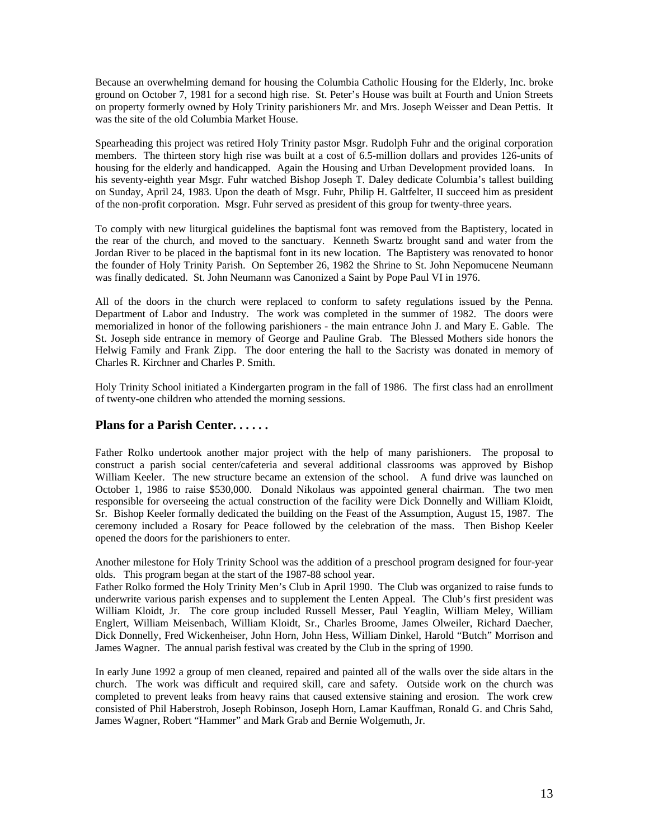Because an overwhelming demand for housing the Columbia Catholic Housing for the Elderly, Inc. broke ground on October 7, 1981 for a second high rise. St. Peter's House was built at Fourth and Union Streets on property formerly owned by Holy Trinity parishioners Mr. and Mrs. Joseph Weisser and Dean Pettis. It was the site of the old Columbia Market House.

Spearheading this project was retired Holy Trinity pastor Msgr. Rudolph Fuhr and the original corporation members. The thirteen story high rise was built at a cost of 6.5-million dollars and provides 126-units of housing for the elderly and handicapped. Again the Housing and Urban Development provided loans. In his seventy-eighth year Msgr. Fuhr watched Bishop Joseph T. Daley dedicate Columbia's tallest building on Sunday, April 24, 1983. Upon the death of Msgr. Fuhr, Philip H. Galtfelter, II succeed him as president of the non-profit corporation. Msgr. Fuhr served as president of this group for twenty-three years.

To comply with new liturgical guidelines the baptismal font was removed from the Baptistery, located in the rear of the church, and moved to the sanctuary. Kenneth Swartz brought sand and water from the Jordan River to be placed in the baptismal font in its new location. The Baptistery was renovated to honor the founder of Holy Trinity Parish. On September 26, 1982 the Shrine to St. John Nepomucene Neumann was finally dedicated. St. John Neumann was Canonized a Saint by Pope Paul VI in 1976.

All of the doors in the church were replaced to conform to safety regulations issued by the Penna. Department of Labor and Industry. The work was completed in the summer of 1982. The doors were memorialized in honor of the following parishioners - the main entrance John J. and Mary E. Gable. The St. Joseph side entrance in memory of George and Pauline Grab. The Blessed Mothers side honors the Helwig Family and Frank Zipp. The door entering the hall to the Sacristy was donated in memory of Charles R. Kirchner and Charles P. Smith.

Holy Trinity School initiated a Kindergarten program in the fall of 1986. The first class had an enrollment of twenty-one children who attended the morning sessions.

### **Plans for a Parish Center. . . . . .**

Father Rolko undertook another major project with the help of many parishioners. The proposal to construct a parish social center/cafeteria and several additional classrooms was approved by Bishop William Keeler. The new structure became an extension of the school. A fund drive was launched on October 1, 1986 to raise \$530,000. Donald Nikolaus was appointed general chairman. The two men responsible for overseeing the actual construction of the facility were Dick Donnelly and William Kloidt, Sr. Bishop Keeler formally dedicated the building on the Feast of the Assumption, August 15, 1987. The ceremony included a Rosary for Peace followed by the celebration of the mass. Then Bishop Keeler opened the doors for the parishioners to enter.

Another milestone for Holy Trinity School was the addition of a preschool program designed for four-year olds. This program began at the start of the 1987-88 school year.

Father Rolko formed the Holy Trinity Men's Club in April 1990. The Club was organized to raise funds to underwrite various parish expenses and to supplement the Lenten Appeal. The Club's first president was William Kloidt, Jr. The core group included Russell Messer, Paul Yeaglin, William Meley, William Englert, William Meisenbach, William Kloidt, Sr., Charles Broome, James Olweiler, Richard Daecher, Dick Donnelly, Fred Wickenheiser, John Horn, John Hess, William Dinkel, Harold "Butch" Morrison and James Wagner. The annual parish festival was created by the Club in the spring of 1990.

In early June 1992 a group of men cleaned, repaired and painted all of the walls over the side altars in the church. The work was difficult and required skill, care and safety. Outside work on the church was completed to prevent leaks from heavy rains that caused extensive staining and erosion. The work crew consisted of Phil Haberstroh, Joseph Robinson, Joseph Horn, Lamar Kauffman, Ronald G. and Chris Sahd, James Wagner, Robert "Hammer" and Mark Grab and Bernie Wolgemuth, Jr.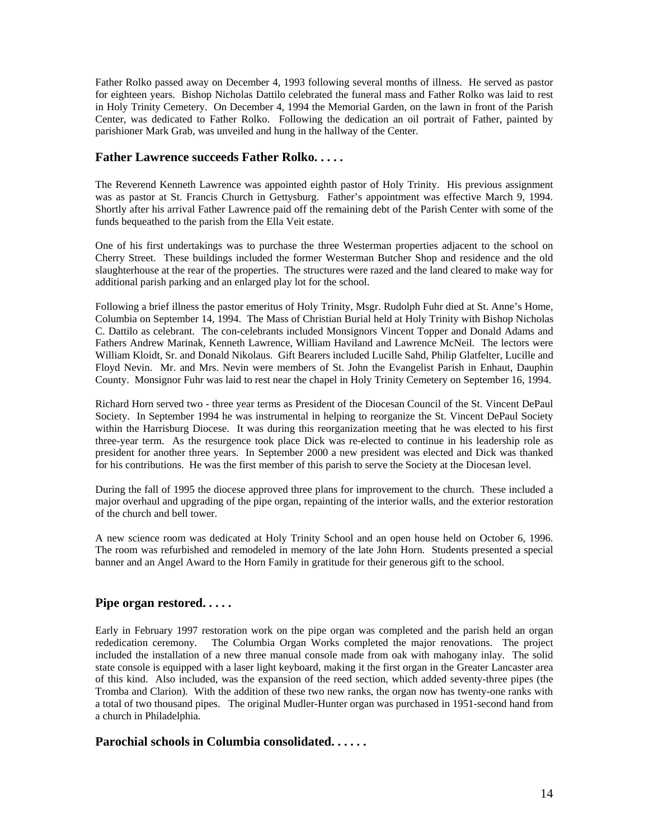Father Rolko passed away on December 4, 1993 following several months of illness. He served as pastor for eighteen years. Bishop Nicholas Dattilo celebrated the funeral mass and Father Rolko was laid to rest in Holy Trinity Cemetery. On December 4, 1994 the Memorial Garden, on the lawn in front of the Parish Center, was dedicated to Father Rolko. Following the dedication an oil portrait of Father, painted by parishioner Mark Grab, was unveiled and hung in the hallway of the Center.

### **Father Lawrence succeeds Father Rolko. . . . .**

The Reverend Kenneth Lawrence was appointed eighth pastor of Holy Trinity. His previous assignment was as pastor at St. Francis Church in Gettysburg. Father's appointment was effective March 9, 1994. Shortly after his arrival Father Lawrence paid off the remaining debt of the Parish Center with some of the funds bequeathed to the parish from the Ella Veit estate.

One of his first undertakings was to purchase the three Westerman properties adjacent to the school on Cherry Street. These buildings included the former Westerman Butcher Shop and residence and the old slaughterhouse at the rear of the properties. The structures were razed and the land cleared to make way for additional parish parking and an enlarged play lot for the school.

Following a brief illness the pastor emeritus of Holy Trinity, Msgr. Rudolph Fuhr died at St. Anne's Home, Columbia on September 14, 1994. The Mass of Christian Burial held at Holy Trinity with Bishop Nicholas C. Dattilo as celebrant. The con-celebrants included Monsignors Vincent Topper and Donald Adams and Fathers Andrew Marinak, Kenneth Lawrence, William Haviland and Lawrence McNeil. The lectors were William Kloidt, Sr. and Donald Nikolaus. Gift Bearers included Lucille Sahd, Philip Glatfelter, Lucille and Floyd Nevin. Mr. and Mrs. Nevin were members of St. John the Evangelist Parish in Enhaut, Dauphin County. Monsignor Fuhr was laid to rest near the chapel in Holy Trinity Cemetery on September 16, 1994.

Richard Horn served two - three year terms as President of the Diocesan Council of the St. Vincent DePaul Society. In September 1994 he was instrumental in helping to reorganize the St. Vincent DePaul Society within the Harrisburg Diocese. It was during this reorganization meeting that he was elected to his first three-year term. As the resurgence took place Dick was re-elected to continue in his leadership role as president for another three years. In September 2000 a new president was elected and Dick was thanked for his contributions. He was the first member of this parish to serve the Society at the Diocesan level.

During the fall of 1995 the diocese approved three plans for improvement to the church. These included a major overhaul and upgrading of the pipe organ, repainting of the interior walls, and the exterior restoration of the church and bell tower.

A new science room was dedicated at Holy Trinity School and an open house held on October 6, 1996. The room was refurbished and remodeled in memory of the late John Horn. Students presented a special banner and an Angel Award to the Horn Family in gratitude for their generous gift to the school.

### **Pipe organ restored. . . . .**

Early in February 1997 restoration work on the pipe organ was completed and the parish held an organ rededication ceremony. The Columbia Organ Works completed the major renovations. The project included the installation of a new three manual console made from oak with mahogany inlay. The solid state console is equipped with a laser light keyboard, making it the first organ in the Greater Lancaster area of this kind. Also included, was the expansion of the reed section, which added seventy-three pipes (the Tromba and Clarion). With the addition of these two new ranks, the organ now has twenty-one ranks with a total of two thousand pipes. The original Mudler-Hunter organ was purchased in 1951-second hand from a church in Philadelphia.

### **Parochial schools in Columbia consolidated. . . . . .**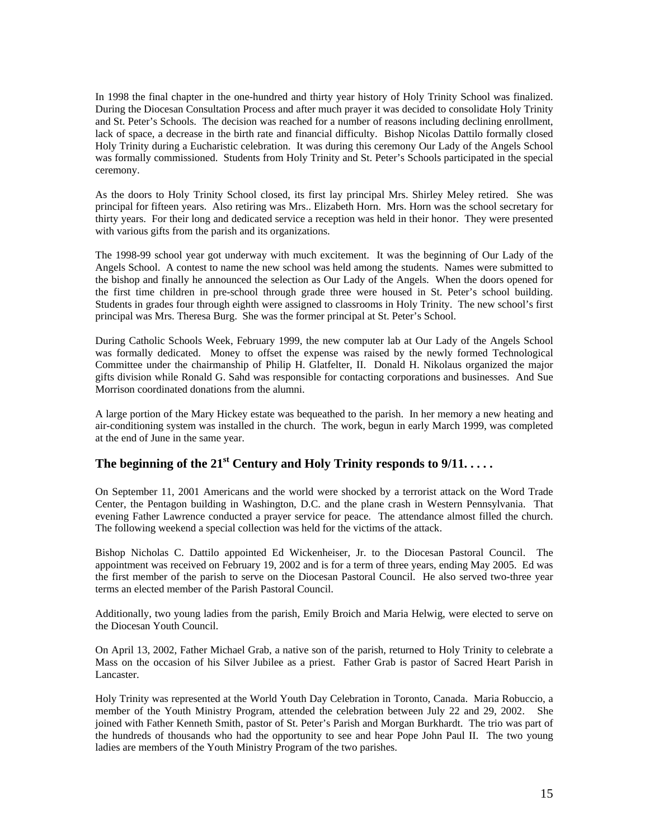In 1998 the final chapter in the one-hundred and thirty year history of Holy Trinity School was finalized. During the Diocesan Consultation Process and after much prayer it was decided to consolidate Holy Trinity and St. Peter's Schools. The decision was reached for a number of reasons including declining enrollment, lack of space, a decrease in the birth rate and financial difficulty. Bishop Nicolas Dattilo formally closed Holy Trinity during a Eucharistic celebration. It was during this ceremony Our Lady of the Angels School was formally commissioned. Students from Holy Trinity and St. Peter's Schools participated in the special ceremony.

As the doors to Holy Trinity School closed, its first lay principal Mrs. Shirley Meley retired. She was principal for fifteen years. Also retiring was Mrs.. Elizabeth Horn. Mrs. Horn was the school secretary for thirty years. For their long and dedicated service a reception was held in their honor. They were presented with various gifts from the parish and its organizations.

The 1998-99 school year got underway with much excitement. It was the beginning of Our Lady of the Angels School. A contest to name the new school was held among the students. Names were submitted to the bishop and finally he announced the selection as Our Lady of the Angels. When the doors opened for the first time children in pre-school through grade three were housed in St. Peter's school building. Students in grades four through eighth were assigned to classrooms in Holy Trinity. The new school's first principal was Mrs. Theresa Burg. She was the former principal at St. Peter's School.

During Catholic Schools Week, February 1999, the new computer lab at Our Lady of the Angels School was formally dedicated. Money to offset the expense was raised by the newly formed Technological Committee under the chairmanship of Philip H. Glatfelter, II. Donald H. Nikolaus organized the major gifts division while Ronald G. Sahd was responsible for contacting corporations and businesses. And Sue Morrison coordinated donations from the alumni.

A large portion of the Mary Hickey estate was bequeathed to the parish. In her memory a new heating and air-conditioning system was installed in the church. The work, begun in early March 1999, was completed at the end of June in the same year.

# The beginning of the  $21^{st}$  Century and Holy Trinity responds to  $9/11$ ....

On September 11, 2001 Americans and the world were shocked by a terrorist attack on the Word Trade Center, the Pentagon building in Washington, D.C. and the plane crash in Western Pennsylvania. That evening Father Lawrence conducted a prayer service for peace. The attendance almost filled the church. The following weekend a special collection was held for the victims of the attack.

Bishop Nicholas C. Dattilo appointed Ed Wickenheiser, Jr. to the Diocesan Pastoral Council. The appointment was received on February 19, 2002 and is for a term of three years, ending May 2005. Ed was the first member of the parish to serve on the Diocesan Pastoral Council. He also served two-three year terms an elected member of the Parish Pastoral Council.

Additionally, two young ladies from the parish, Emily Broich and Maria Helwig, were elected to serve on the Diocesan Youth Council.

On April 13, 2002, Father Michael Grab, a native son of the parish, returned to Holy Trinity to celebrate a Mass on the occasion of his Silver Jubilee as a priest. Father Grab is pastor of Sacred Heart Parish in Lancaster.

Holy Trinity was represented at the World Youth Day Celebration in Toronto, Canada. Maria Robuccio, a member of the Youth Ministry Program, attended the celebration between July 22 and 29, 2002. She joined with Father Kenneth Smith, pastor of St. Peter's Parish and Morgan Burkhardt. The trio was part of the hundreds of thousands who had the opportunity to see and hear Pope John Paul II. The two young ladies are members of the Youth Ministry Program of the two parishes.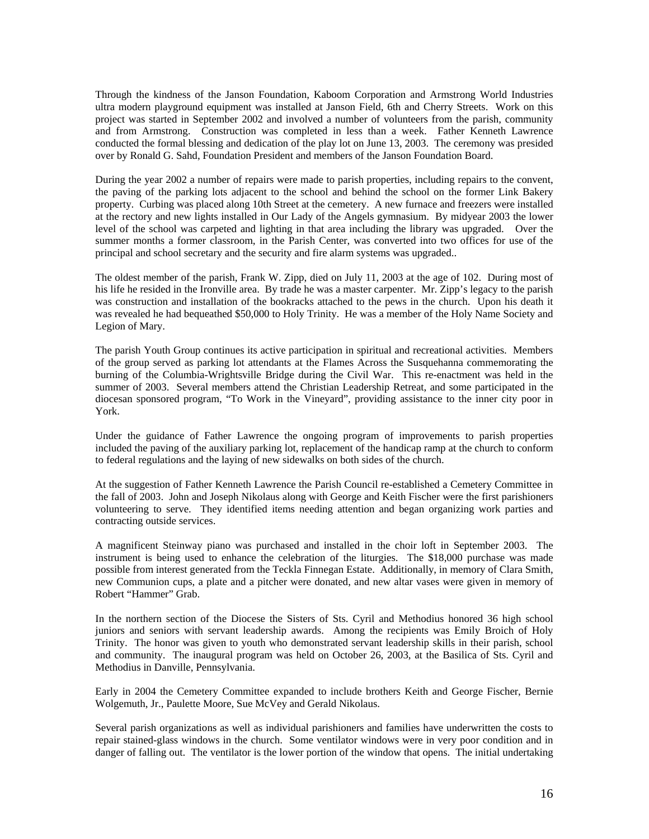Through the kindness of the Janson Foundation, Kaboom Corporation and Armstrong World Industries ultra modern playground equipment was installed at Janson Field, 6th and Cherry Streets. Work on this project was started in September 2002 and involved a number of volunteers from the parish, community and from Armstrong. Construction was completed in less than a week. Father Kenneth Lawrence conducted the formal blessing and dedication of the play lot on June 13, 2003. The ceremony was presided over by Ronald G. Sahd, Foundation President and members of the Janson Foundation Board.

During the year 2002 a number of repairs were made to parish properties, including repairs to the convent, the paving of the parking lots adjacent to the school and behind the school on the former Link Bakery property. Curbing was placed along 10th Street at the cemetery. A new furnace and freezers were installed at the rectory and new lights installed in Our Lady of the Angels gymnasium. By midyear 2003 the lower level of the school was carpeted and lighting in that area including the library was upgraded. Over the summer months a former classroom, in the Parish Center, was converted into two offices for use of the principal and school secretary and the security and fire alarm systems was upgraded..

The oldest member of the parish, Frank W. Zipp, died on July 11, 2003 at the age of 102. During most of his life he resided in the Ironville area. By trade he was a master carpenter. Mr. Zipp's legacy to the parish was construction and installation of the bookracks attached to the pews in the church. Upon his death it was revealed he had bequeathed \$50,000 to Holy Trinity. He was a member of the Holy Name Society and Legion of Mary.

The parish Youth Group continues its active participation in spiritual and recreational activities. Members of the group served as parking lot attendants at the Flames Across the Susquehanna commemorating the burning of the Columbia-Wrightsville Bridge during the Civil War. This re-enactment was held in the summer of 2003. Several members attend the Christian Leadership Retreat, and some participated in the diocesan sponsored program, "To Work in the Vineyard", providing assistance to the inner city poor in York.

Under the guidance of Father Lawrence the ongoing program of improvements to parish properties included the paving of the auxiliary parking lot, replacement of the handicap ramp at the church to conform to federal regulations and the laying of new sidewalks on both sides of the church.

At the suggestion of Father Kenneth Lawrence the Parish Council re-established a Cemetery Committee in the fall of 2003. John and Joseph Nikolaus along with George and Keith Fischer were the first parishioners volunteering to serve. They identified items needing attention and began organizing work parties and contracting outside services.

A magnificent Steinway piano was purchased and installed in the choir loft in September 2003. The instrument is being used to enhance the celebration of the liturgies. The \$18,000 purchase was made possible from interest generated from the Teckla Finnegan Estate. Additionally, in memory of Clara Smith, new Communion cups, a plate and a pitcher were donated, and new altar vases were given in memory of Robert "Hammer" Grab.

In the northern section of the Diocese the Sisters of Sts. Cyril and Methodius honored 36 high school juniors and seniors with servant leadership awards. Among the recipients was Emily Broich of Holy Trinity. The honor was given to youth who demonstrated servant leadership skills in their parish, school and community. The inaugural program was held on October 26, 2003, at the Basilica of Sts. Cyril and Methodius in Danville, Pennsylvania.

Early in 2004 the Cemetery Committee expanded to include brothers Keith and George Fischer, Bernie Wolgemuth, Jr., Paulette Moore, Sue McVey and Gerald Nikolaus.

Several parish organizations as well as individual parishioners and families have underwritten the costs to repair stained-glass windows in the church. Some ventilator windows were in very poor condition and in danger of falling out. The ventilator is the lower portion of the window that opens. The initial undertaking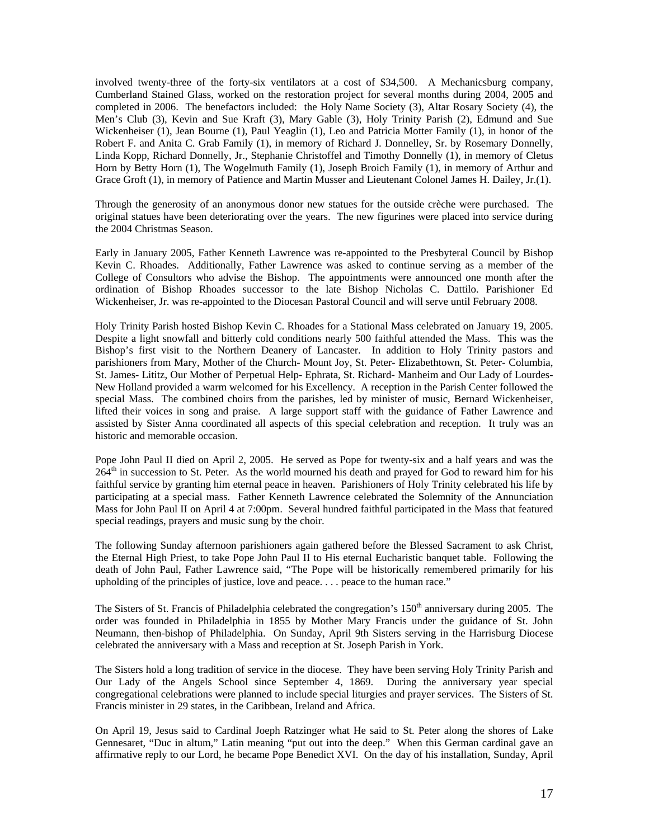involved twenty-three of the forty-six ventilators at a cost of \$34,500. A Mechanicsburg company, Cumberland Stained Glass, worked on the restoration project for several months during 2004, 2005 and completed in 2006. The benefactors included: the Holy Name Society (3), Altar Rosary Society (4), the Men's Club (3), Kevin and Sue Kraft (3), Mary Gable (3), Holy Trinity Parish (2), Edmund and Sue Wickenheiser (1), Jean Bourne (1), Paul Yeaglin (1), Leo and Patricia Motter Family (1), in honor of the Robert F. and Anita C. Grab Family (1), in memory of Richard J. Donnelley, Sr. by Rosemary Donnelly, Linda Kopp, Richard Donnelly, Jr., Stephanie Christoffel and Timothy Donnelly (1), in memory of Cletus Horn by Betty Horn (1), The Wogelmuth Family (1), Joseph Broich Family (1), in memory of Arthur and Grace Groft (1), in memory of Patience and Martin Musser and Lieutenant Colonel James H. Dailey, Jr.(1).

Through the generosity of an anonymous donor new statues for the outside crèche were purchased. The original statues have been deteriorating over the years. The new figurines were placed into service during the 2004 Christmas Season.

Early in January 2005, Father Kenneth Lawrence was re-appointed to the Presbyteral Council by Bishop Kevin C. Rhoades. Additionally, Father Lawrence was asked to continue serving as a member of the College of Consultors who advise the Bishop. The appointments were announced one month after the ordination of Bishop Rhoades successor to the late Bishop Nicholas C. Dattilo. Parishioner Ed Wickenheiser, Jr. was re-appointed to the Diocesan Pastoral Council and will serve until February 2008.

Holy Trinity Parish hosted Bishop Kevin C. Rhoades for a Stational Mass celebrated on January 19, 2005. Despite a light snowfall and bitterly cold conditions nearly 500 faithful attended the Mass. This was the Bishop's first visit to the Northern Deanery of Lancaster. In addition to Holy Trinity pastors and parishioners from Mary, Mother of the Church- Mount Joy, St. Peter- Elizabethtown, St. Peter- Columbia, St. James- Lititz, Our Mother of Perpetual Help- Ephrata, St. Richard- Manheim and Our Lady of Lourdes-New Holland provided a warm welcomed for his Excellency. A reception in the Parish Center followed the special Mass. The combined choirs from the parishes, led by minister of music, Bernard Wickenheiser, lifted their voices in song and praise. A large support staff with the guidance of Father Lawrence and assisted by Sister Anna coordinated all aspects of this special celebration and reception. It truly was an historic and memorable occasion.

Pope John Paul II died on April 2, 2005. He served as Pope for twenty-six and a half years and was the  $264<sup>th</sup>$  in succession to St. Peter. As the world mourned his death and prayed for God to reward him for his faithful service by granting him eternal peace in heaven. Parishioners of Holy Trinity celebrated his life by participating at a special mass. Father Kenneth Lawrence celebrated the Solemnity of the Annunciation Mass for John Paul II on April 4 at 7:00pm. Several hundred faithful participated in the Mass that featured special readings, prayers and music sung by the choir.

The following Sunday afternoon parishioners again gathered before the Blessed Sacrament to ask Christ, the Eternal High Priest, to take Pope John Paul II to His eternal Eucharistic banquet table. Following the death of John Paul, Father Lawrence said, "The Pope will be historically remembered primarily for his upholding of the principles of justice, love and peace. . . . peace to the human race."

The Sisters of St. Francis of Philadelphia celebrated the congregation's 150<sup>th</sup> anniversary during 2005. The order was founded in Philadelphia in 1855 by Mother Mary Francis under the guidance of St. John Neumann, then-bishop of Philadelphia. On Sunday, April 9th Sisters serving in the Harrisburg Diocese celebrated the anniversary with a Mass and reception at St. Joseph Parish in York.

The Sisters hold a long tradition of service in the diocese. They have been serving Holy Trinity Parish and Our Lady of the Angels School since September 4, 1869. During the anniversary year special congregational celebrations were planned to include special liturgies and prayer services. The Sisters of St. Francis minister in 29 states, in the Caribbean, Ireland and Africa.

On April 19, Jesus said to Cardinal Joeph Ratzinger what He said to St. Peter along the shores of Lake Gennesaret, "Duc in altum," Latin meaning "put out into the deep." When this German cardinal gave an affirmative reply to our Lord, he became Pope Benedict XVI. On the day of his installation, Sunday, April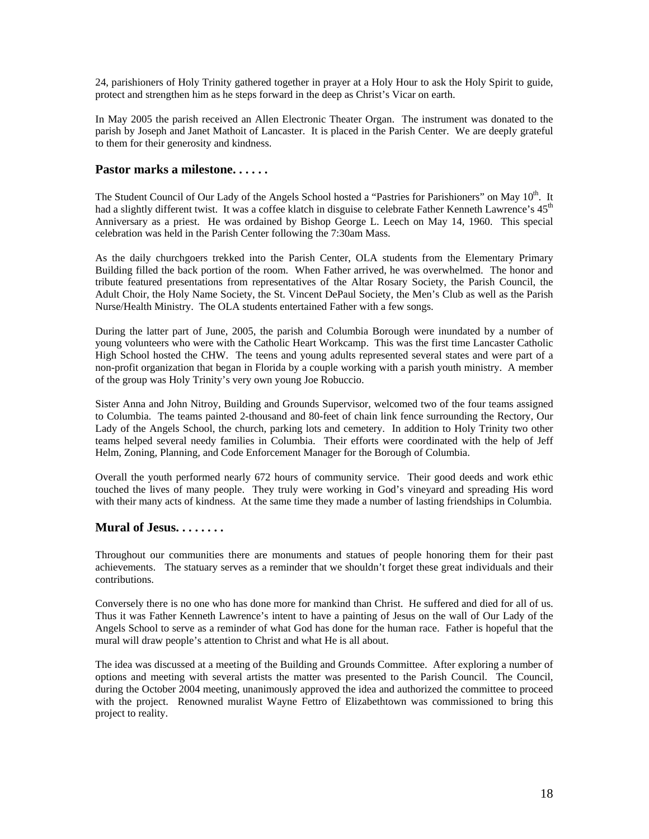24, parishioners of Holy Trinity gathered together in prayer at a Holy Hour to ask the Holy Spirit to guide, protect and strengthen him as he steps forward in the deep as Christ's Vicar on earth.

In May 2005 the parish received an Allen Electronic Theater Organ. The instrument was donated to the parish by Joseph and Janet Mathoit of Lancaster. It is placed in the Parish Center. We are deeply grateful to them for their generosity and kindness.

#### **Pastor marks a milestone. . . . . .**

The Student Council of Our Lady of the Angels School hosted a "Pastries for Parishioners" on May 10<sup>th</sup>. It had a slightly different twist. It was a coffee klatch in disguise to celebrate Father Kenneth Lawrence's 45<sup>th</sup> Anniversary as a priest. He was ordained by Bishop George L. Leech on May 14, 1960. This special celebration was held in the Parish Center following the 7:30am Mass.

As the daily churchgoers trekked into the Parish Center, OLA students from the Elementary Primary Building filled the back portion of the room. When Father arrived, he was overwhelmed. The honor and tribute featured presentations from representatives of the Altar Rosary Society, the Parish Council, the Adult Choir, the Holy Name Society, the St. Vincent DePaul Society, the Men's Club as well as the Parish Nurse/Health Ministry. The OLA students entertained Father with a few songs.

During the latter part of June, 2005, the parish and Columbia Borough were inundated by a number of young volunteers who were with the Catholic Heart Workcamp. This was the first time Lancaster Catholic High School hosted the CHW. The teens and young adults represented several states and were part of a non-profit organization that began in Florida by a couple working with a parish youth ministry. A member of the group was Holy Trinity's very own young Joe Robuccio.

Sister Anna and John Nitroy, Building and Grounds Supervisor, welcomed two of the four teams assigned to Columbia. The teams painted 2-thousand and 80-feet of chain link fence surrounding the Rectory, Our Lady of the Angels School, the church, parking lots and cemetery. In addition to Holy Trinity two other teams helped several needy families in Columbia. Their efforts were coordinated with the help of Jeff Helm, Zoning, Planning, and Code Enforcement Manager for the Borough of Columbia.

Overall the youth performed nearly 672 hours of community service. Their good deeds and work ethic touched the lives of many people. They truly were working in God's vineyard and spreading His word with their many acts of kindness. At the same time they made a number of lasting friendships in Columbia.

# **Mural of Jesus. . . . . . . .**

Throughout our communities there are monuments and statues of people honoring them for their past achievements. The statuary serves as a reminder that we shouldn't forget these great individuals and their contributions.

Conversely there is no one who has done more for mankind than Christ. He suffered and died for all of us. Thus it was Father Kenneth Lawrence's intent to have a painting of Jesus on the wall of Our Lady of the Angels School to serve as a reminder of what God has done for the human race. Father is hopeful that the mural will draw people's attention to Christ and what He is all about.

The idea was discussed at a meeting of the Building and Grounds Committee. After exploring a number of options and meeting with several artists the matter was presented to the Parish Council. The Council, during the October 2004 meeting, unanimously approved the idea and authorized the committee to proceed with the project. Renowned muralist Wayne Fettro of Elizabethtown was commissioned to bring this project to reality.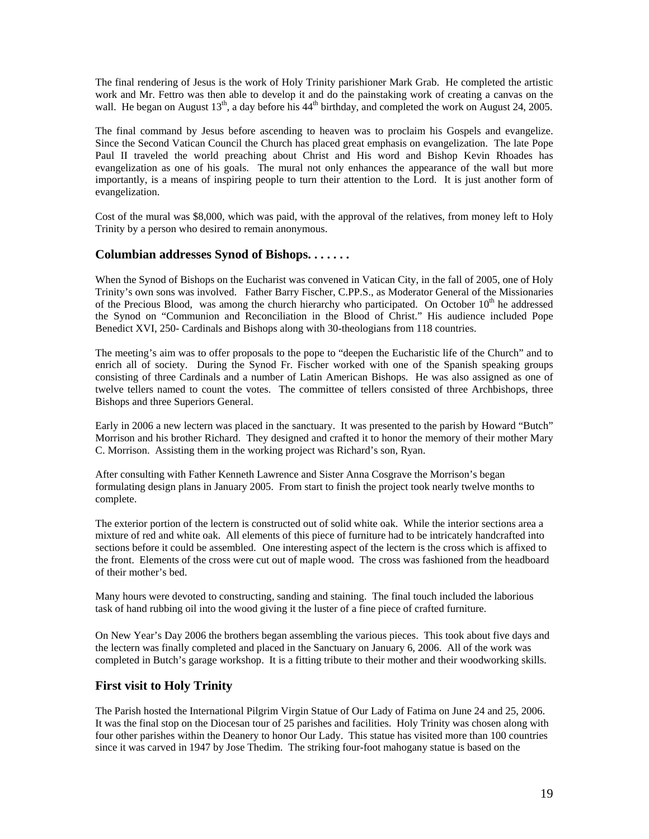The final rendering of Jesus is the work of Holy Trinity parishioner Mark Grab. He completed the artistic work and Mr. Fettro was then able to develop it and do the painstaking work of creating a canvas on the wall. He began on August  $13<sup>th</sup>$ , a day before his  $44<sup>th</sup>$  birthday, and completed the work on August 24, 2005.

The final command by Jesus before ascending to heaven was to proclaim his Gospels and evangelize. Since the Second Vatican Council the Church has placed great emphasis on evangelization. The late Pope Paul II traveled the world preaching about Christ and His word and Bishop Kevin Rhoades has evangelization as one of his goals. The mural not only enhances the appearance of the wall but more importantly, is a means of inspiring people to turn their attention to the Lord. It is just another form of evangelization.

Cost of the mural was \$8,000, which was paid, with the approval of the relatives, from money left to Holy Trinity by a person who desired to remain anonymous.

### **Columbian addresses Synod of Bishops. . . . . . .**

When the Synod of Bishops on the Eucharist was convened in Vatican City, in the fall of 2005, one of Holy Trinity's own sons was involved. Father Barry Fischer, C.PP.S., as Moderator General of the Missionaries of the Precious Blood, was among the church hierarchy who participated. On October  $10<sup>th</sup>$  he addressed the Synod on "Communion and Reconciliation in the Blood of Christ." His audience included Pope Benedict XVI, 250- Cardinals and Bishops along with 30-theologians from 118 countries.

The meeting's aim was to offer proposals to the pope to "deepen the Eucharistic life of the Church" and to enrich all of society. During the Synod Fr. Fischer worked with one of the Spanish speaking groups consisting of three Cardinals and a number of Latin American Bishops. He was also assigned as one of twelve tellers named to count the votes. The committee of tellers consisted of three Archbishops, three Bishops and three Superiors General.

Early in 2006 a new lectern was placed in the sanctuary. It was presented to the parish by Howard "Butch" Morrison and his brother Richard. They designed and crafted it to honor the memory of their mother Mary C. Morrison. Assisting them in the working project was Richard's son, Ryan.

After consulting with Father Kenneth Lawrence and Sister Anna Cosgrave the Morrison's began formulating design plans in January 2005. From start to finish the project took nearly twelve months to complete.

The exterior portion of the lectern is constructed out of solid white oak. While the interior sections area a mixture of red and white oak. All elements of this piece of furniture had to be intricately handcrafted into sections before it could be assembled. One interesting aspect of the lectern is the cross which is affixed to the front. Elements of the cross were cut out of maple wood. The cross was fashioned from the headboard of their mother's bed.

Many hours were devoted to constructing, sanding and staining. The final touch included the laborious task of hand rubbing oil into the wood giving it the luster of a fine piece of crafted furniture.

On New Year's Day 2006 the brothers began assembling the various pieces. This took about five days and the lectern was finally completed and placed in the Sanctuary on January 6, 2006. All of the work was completed in Butch's garage workshop. It is a fitting tribute to their mother and their woodworking skills.

### **First visit to Holy Trinity**

The Parish hosted the International Pilgrim Virgin Statue of Our Lady of Fatima on June 24 and 25, 2006. It was the final stop on the Diocesan tour of 25 parishes and facilities. Holy Trinity was chosen along with four other parishes within the Deanery to honor Our Lady. This statue has visited more than 100 countries since it was carved in 1947 by Jose Thedim. The striking four-foot mahogany statue is based on the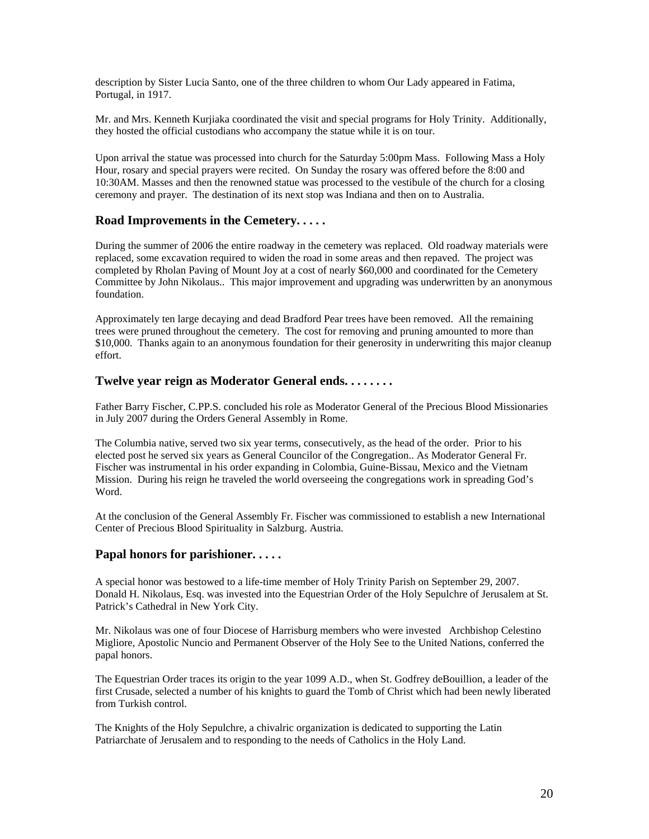description by Sister Lucia Santo, one of the three children to whom Our Lady appeared in Fatima, Portugal, in 1917.

Mr. and Mrs. Kenneth Kurjiaka coordinated the visit and special programs for Holy Trinity. Additionally, they hosted the official custodians who accompany the statue while it is on tour.

Upon arrival the statue was processed into church for the Saturday 5:00pm Mass. Following Mass a Holy Hour, rosary and special prayers were recited. On Sunday the rosary was offered before the 8:00 and 10:30AM. Masses and then the renowned statue was processed to the vestibule of the church for a closing ceremony and prayer. The destination of its next stop was Indiana and then on to Australia.

### **Road Improvements in the Cemetery. . . . .**

During the summer of 2006 the entire roadway in the cemetery was replaced. Old roadway materials were replaced, some excavation required to widen the road in some areas and then repaved. The project was completed by Rholan Paving of Mount Joy at a cost of nearly \$60,000 and coordinated for the Cemetery Committee by John Nikolaus.. This major improvement and upgrading was underwritten by an anonymous foundation.

Approximately ten large decaying and dead Bradford Pear trees have been removed. All the remaining trees were pruned throughout the cemetery. The cost for removing and pruning amounted to more than \$10,000. Thanks again to an anonymous foundation for their generosity in underwriting this major cleanup effort.

### **Twelve year reign as Moderator General ends. . . . . . . .**

Father Barry Fischer, C.PP.S. concluded his role as Moderator General of the Precious Blood Missionaries in July 2007 during the Orders General Assembly in Rome.

The Columbia native, served two six year terms, consecutively, as the head of the order. Prior to his elected post he served six years as General Councilor of the Congregation.. As Moderator General Fr. Fischer was instrumental in his order expanding in Colombia, Guine-Bissau, Mexico and the Vietnam Mission. During his reign he traveled the world overseeing the congregations work in spreading God's Word.

At the conclusion of the General Assembly Fr. Fischer was commissioned to establish a new International Center of Precious Blood Spirituality in Salzburg. Austria.

### **Papal honors for parishioner. . . . .**

A special honor was bestowed to a life-time member of Holy Trinity Parish on September 29, 2007. Donald H. Nikolaus, Esq. was invested into the Equestrian Order of the Holy Sepulchre of Jerusalem at St. Patrick's Cathedral in New York City.

Mr. Nikolaus was one of four Diocese of Harrisburg members who were invested Archbishop Celestino Migliore, Apostolic Nuncio and Permanent Observer of the Holy See to the United Nations, conferred the papal honors.

The Equestrian Order traces its origin to the year 1099 A.D., when St. Godfrey deBouillion, a leader of the first Crusade, selected a number of his knights to guard the Tomb of Christ which had been newly liberated from Turkish control.

The Knights of the Holy Sepulchre, a chivalric organization is dedicated to supporting the Latin Patriarchate of Jerusalem and to responding to the needs of Catholics in the Holy Land.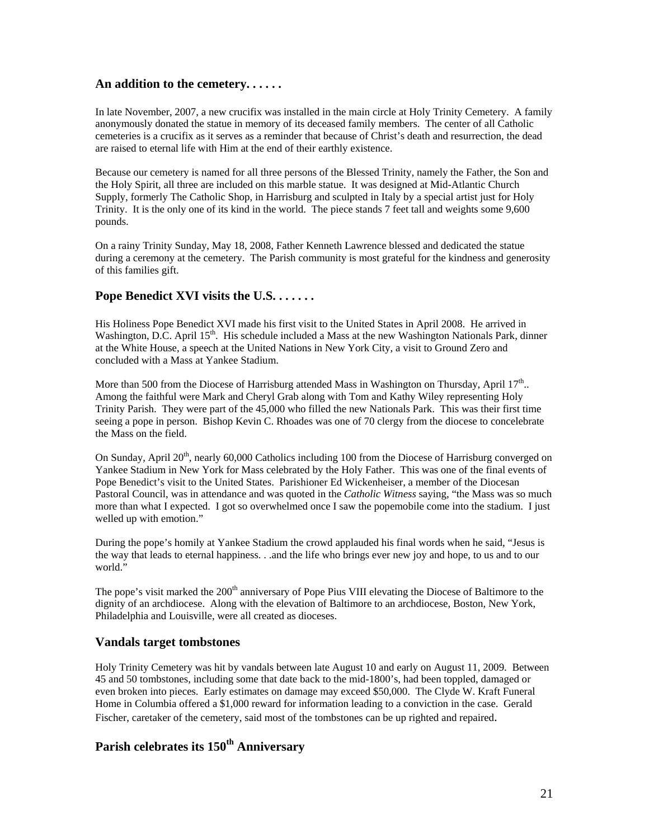### **An addition to the cemetery. . . . . .**

In late November, 2007, a new crucifix was installed in the main circle at Holy Trinity Cemetery. A family anonymously donated the statue in memory of its deceased family members. The center of all Catholic cemeteries is a crucifix as it serves as a reminder that because of Christ's death and resurrection, the dead are raised to eternal life with Him at the end of their earthly existence.

Because our cemetery is named for all three persons of the Blessed Trinity, namely the Father, the Son and the Holy Spirit, all three are included on this marble statue. It was designed at Mid-Atlantic Church Supply, formerly The Catholic Shop, in Harrisburg and sculpted in Italy by a special artist just for Holy Trinity. It is the only one of its kind in the world. The piece stands 7 feet tall and weights some 9,600 pounds.

On a rainy Trinity Sunday, May 18, 2008, Father Kenneth Lawrence blessed and dedicated the statue during a ceremony at the cemetery. The Parish community is most grateful for the kindness and generosity of this families gift.

#### **Pope Benedict XVI visits the U.S. . . . . . .**

His Holiness Pope Benedict XVI made his first visit to the United States in April 2008. He arrived in Washington, D.C. April 15<sup>th</sup>. His schedule included a Mass at the new Washington Nationals Park, dinner at the White House, a speech at the United Nations in New York City, a visit to Ground Zero and concluded with a Mass at Yankee Stadium.

More than 500 from the Diocese of Harrisburg attended Mass in Washington on Thursday, April  $17<sup>th</sup>$ .. Among the faithful were Mark and Cheryl Grab along with Tom and Kathy Wiley representing Holy Trinity Parish. They were part of the 45,000 who filled the new Nationals Park. This was their first time seeing a pope in person. Bishop Kevin C. Rhoades was one of 70 clergy from the diocese to concelebrate the Mass on the field.

On Sunday, April 20<sup>th</sup>, nearly 60,000 Catholics including 100 from the Diocese of Harrisburg converged on Yankee Stadium in New York for Mass celebrated by the Holy Father. This was one of the final events of Pope Benedict's visit to the United States. Parishioner Ed Wickenheiser, a member of the Diocesan Pastoral Council, was in attendance and was quoted in the *Catholic Witness* saying, "the Mass was so much more than what I expected. I got so overwhelmed once I saw the popemobile come into the stadium. I just welled up with emotion."

During the pope's homily at Yankee Stadium the crowd applauded his final words when he said, "Jesus is the way that leads to eternal happiness. . .and the life who brings ever new joy and hope, to us and to our world."

The pope's visit marked the 200<sup>th</sup> anniversary of Pope Pius VIII elevating the Diocese of Baltimore to the dignity of an archdiocese. Along with the elevation of Baltimore to an archdiocese, Boston, New York, Philadelphia and Louisville, were all created as dioceses.

#### **Vandals target tombstones**

Holy Trinity Cemetery was hit by vandals between late August 10 and early on August 11, 2009. Between 45 and 50 tombstones, including some that date back to the mid-1800's, had been toppled, damaged or even broken into pieces. Early estimates on damage may exceed \$50,000. The Clyde W. Kraft Funeral Home in Columbia offered a \$1,000 reward for information leading to a conviction in the case. Gerald Fischer, caretaker of the cemetery, said most of the tombstones can be up righted and repaired.

### **Parish celebrates its 150th Anniversary**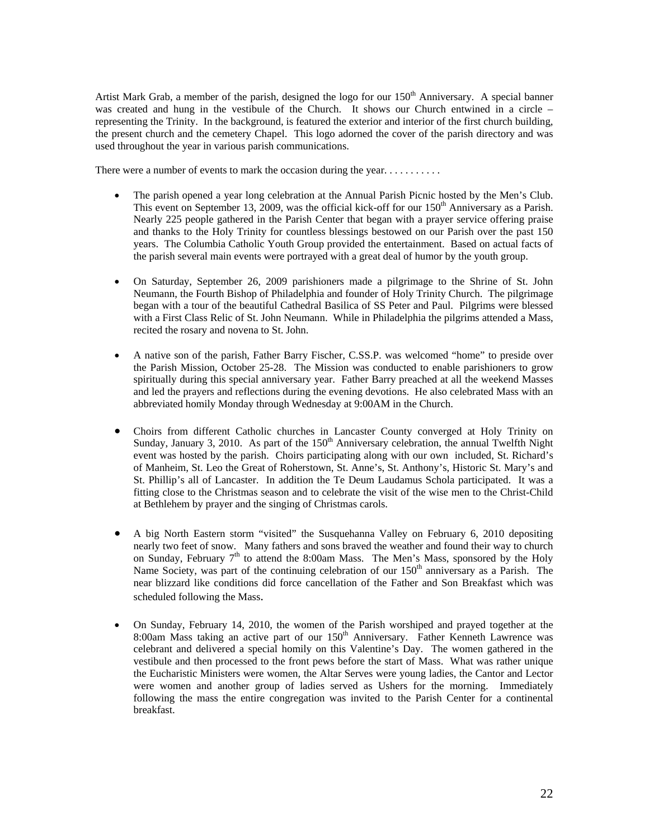Artist Mark Grab, a member of the parish, designed the logo for our  $150<sup>th</sup>$  Anniversary. A special banner was created and hung in the vestibule of the Church. It shows our Church entwined in a circle – representing the Trinity. In the background, is featured the exterior and interior of the first church building, the present church and the cemetery Chapel. This logo adorned the cover of the parish directory and was used throughout the year in various parish communications.

There were a number of events to mark the occasion during the year. . . . . . . . . . .

- The parish opened a year long celebration at the Annual Parish Picnic hosted by the Men's Club. This event on September 13, 2009, was the official kick-off for our 150<sup>th</sup> Anniversary as a Parish. Nearly 225 people gathered in the Parish Center that began with a prayer service offering praise and thanks to the Holy Trinity for countless blessings bestowed on our Parish over the past 150 years. The Columbia Catholic Youth Group provided the entertainment. Based on actual facts of the parish several main events were portrayed with a great deal of humor by the youth group.
- On Saturday, September 26, 2009 parishioners made a pilgrimage to the Shrine of St. John Neumann, the Fourth Bishop of Philadelphia and founder of Holy Trinity Church. The pilgrimage began with a tour of the beautiful Cathedral Basilica of SS Peter and Paul. Pilgrims were blessed with a First Class Relic of St. John Neumann. While in Philadelphia the pilgrims attended a Mass, recited the rosary and novena to St. John.
- A native son of the parish, Father Barry Fischer, C.SS.P. was welcomed "home" to preside over the Parish Mission, October 25-28. The Mission was conducted to enable parishioners to grow spiritually during this special anniversary year. Father Barry preached at all the weekend Masses and led the prayers and reflections during the evening devotions. He also celebrated Mass with an abbreviated homily Monday through Wednesday at 9:00AM in the Church.
- Choirs from different Catholic churches in Lancaster County converged at Holy Trinity on Sunday, January 3, 2010. As part of the 150<sup>th</sup> Anniversary celebration, the annual Twelfth Night event was hosted by the parish. Choirs participating along with our own included, St. Richard's of Manheim, St. Leo the Great of Roherstown, St. Anne's, St. Anthony's, Historic St. Mary's and St. Phillip's all of Lancaster. In addition the Te Deum Laudamus Schola participated. It was a fitting close to the Christmas season and to celebrate the visit of the wise men to the Christ-Child at Bethlehem by prayer and the singing of Christmas carols.
- A big North Eastern storm "visited" the Susquehanna Valley on February 6, 2010 depositing nearly two feet of snow. Many fathers and sons braved the weather and found their way to church on Sunday, February 7<sup>th</sup> to attend the 8:00am Mass. The Men's Mass, sponsored by the Holy Name Society, was part of the continuing celebration of our  $150<sup>th</sup>$  anniversary as a Parish. The near blizzard like conditions did force cancellation of the Father and Son Breakfast which was scheduled following the Mass.
- On Sunday, February 14, 2010, the women of the Parish worshiped and prayed together at the 8:00am Mass taking an active part of our  $150<sup>th</sup>$  Anniversary. Father Kenneth Lawrence was celebrant and delivered a special homily on this Valentine's Day. The women gathered in the vestibule and then processed to the front pews before the start of Mass. What was rather unique the Eucharistic Ministers were women, the Altar Serves were young ladies, the Cantor and Lector were women and another group of ladies served as Ushers for the morning. Immediately following the mass the entire congregation was invited to the Parish Center for a continental breakfast.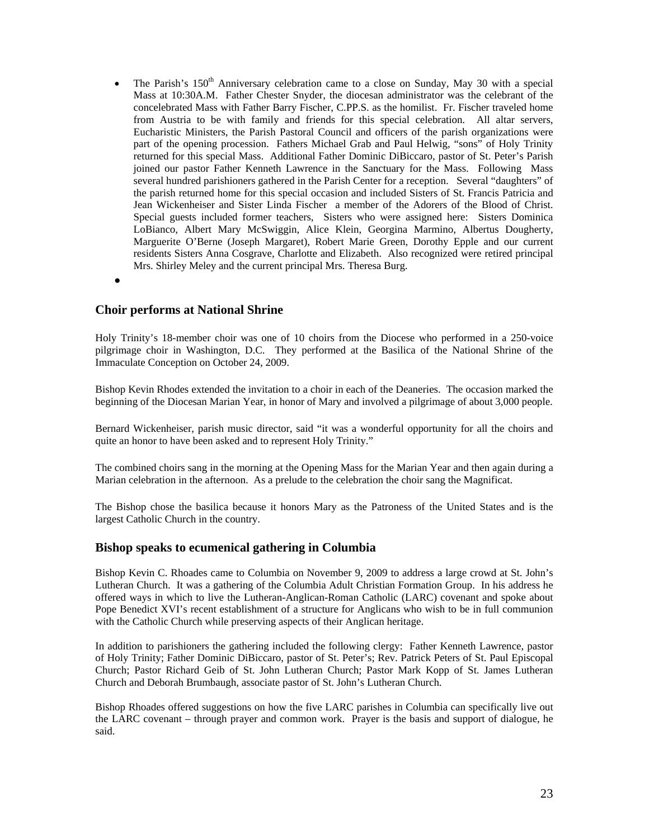- The Parish's  $150<sup>th</sup>$  Anniversary celebration came to a close on Sunday, May 30 with a special Mass at 10:30A.M. Father Chester Snyder, the diocesan administrator was the celebrant of the concelebrated Mass with Father Barry Fischer, C.PP.S. as the homilist. Fr. Fischer traveled home from Austria to be with family and friends for this special celebration. All altar servers, Eucharistic Ministers, the Parish Pastoral Council and officers of the parish organizations were part of the opening procession. Fathers Michael Grab and Paul Helwig, "sons" of Holy Trinity returned for this special Mass. Additional Father Dominic DiBiccaro, pastor of St. Peter's Parish joined our pastor Father Kenneth Lawrence in the Sanctuary for the Mass. Following Mass several hundred parishioners gathered in the Parish Center for a reception. Several "daughters" of the parish returned home for this special occasion and included Sisters of St. Francis Patricia and Jean Wickenheiser and Sister Linda Fischer a member of the Adorers of the Blood of Christ. Special guests included former teachers, Sisters who were assigned here: Sisters Dominica LoBianco, Albert Mary McSwiggin, Alice Klein, Georgina Marmino, Albertus Dougherty, Marguerite O'Berne (Joseph Margaret), Robert Marie Green, Dorothy Epple and our current residents Sisters Anna Cosgrave, Charlotte and Elizabeth. Also recognized were retired principal Mrs. Shirley Meley and the current principal Mrs. Theresa Burg.
- $\bullet$

#### **Choir performs at National Shrine**

Holy Trinity's 18-member choir was one of 10 choirs from the Diocese who performed in a 250-voice pilgrimage choir in Washington, D.C. They performed at the Basilica of the National Shrine of the Immaculate Conception on October 24, 2009.

Bishop Kevin Rhodes extended the invitation to a choir in each of the Deaneries. The occasion marked the beginning of the Diocesan Marian Year, in honor of Mary and involved a pilgrimage of about 3,000 people.

Bernard Wickenheiser, parish music director, said "it was a wonderful opportunity for all the choirs and quite an honor to have been asked and to represent Holy Trinity."

The combined choirs sang in the morning at the Opening Mass for the Marian Year and then again during a Marian celebration in the afternoon. As a prelude to the celebration the choir sang the Magnificat.

The Bishop chose the basilica because it honors Mary as the Patroness of the United States and is the largest Catholic Church in the country.

#### **Bishop speaks to ecumenical gathering in Columbia**

Bishop Kevin C. Rhoades came to Columbia on November 9, 2009 to address a large crowd at St. John's Lutheran Church. It was a gathering of the Columbia Adult Christian Formation Group. In his address he offered ways in which to live the Lutheran-Anglican-Roman Catholic (LARC) covenant and spoke about Pope Benedict XVI's recent establishment of a structure for Anglicans who wish to be in full communion with the Catholic Church while preserving aspects of their Anglican heritage.

In addition to parishioners the gathering included the following clergy: Father Kenneth Lawrence, pastor of Holy Trinity; Father Dominic DiBiccaro, pastor of St. Peter's; Rev. Patrick Peters of St. Paul Episcopal Church; Pastor Richard Geib of St. John Lutheran Church; Pastor Mark Kopp of St. James Lutheran Church and Deborah Brumbaugh, associate pastor of St. John's Lutheran Church.

Bishop Rhoades offered suggestions on how the five LARC parishes in Columbia can specifically live out the LARC covenant – through prayer and common work. Prayer is the basis and support of dialogue, he said.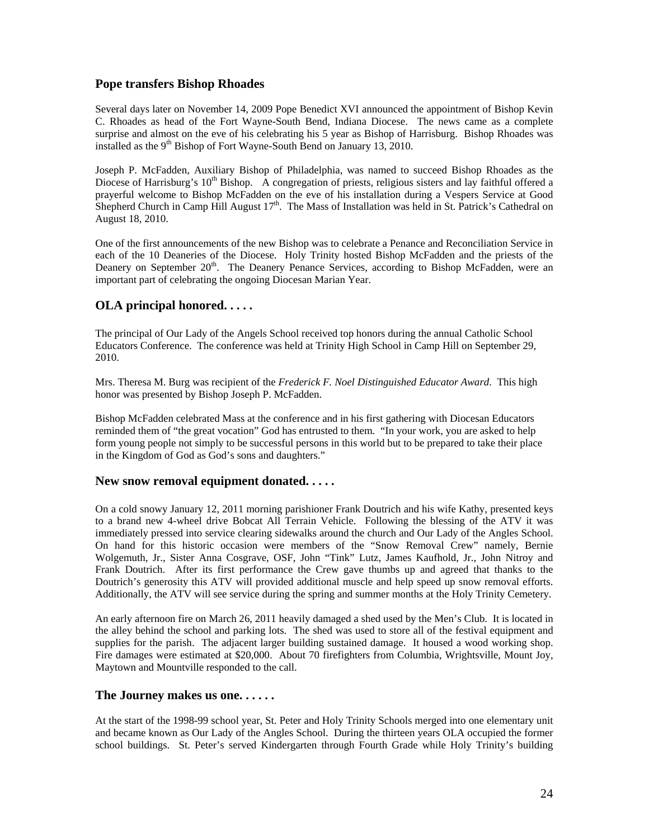### **Pope transfers Bishop Rhoades**

Several days later on November 14, 2009 Pope Benedict XVI announced the appointment of Bishop Kevin C. Rhoades as head of the Fort Wayne-South Bend, Indiana Diocese. The news came as a complete surprise and almost on the eve of his celebrating his 5 year as Bishop of Harrisburg. Bishop Rhoades was installed as the 9<sup>th</sup> Bishop of Fort Wayne-South Bend on January 13, 2010.

Joseph P. McFadden, Auxiliary Bishop of Philadelphia, was named to succeed Bishop Rhoades as the Diocese of Harrisburg's  $10^{th}$  Bishop. A congregation of priests, religious sisters and lay faithful offered a prayerful welcome to Bishop McFadden on the eve of his installation during a Vespers Service at Good Shepherd Church in Camp Hill August  $17<sup>th</sup>$ . The Mass of Installation was held in St. Patrick's Cathedral on August 18, 2010.

One of the first announcements of the new Bishop was to celebrate a Penance and Reconciliation Service in each of the 10 Deaneries of the Diocese. Holy Trinity hosted Bishop McFadden and the priests of the Deanery on September 20<sup>th</sup>. The Deanery Penance Services, according to Bishop McFadden, were an important part of celebrating the ongoing Diocesan Marian Year.

# **OLA principal honored. . . . .**

The principal of Our Lady of the Angels School received top honors during the annual Catholic School Educators Conference. The conference was held at Trinity High School in Camp Hill on September 29, 2010.

Mrs. Theresa M. Burg was recipient of the *Frederick F. Noel Distinguished Educator Award*. This high honor was presented by Bishop Joseph P. McFadden.

Bishop McFadden celebrated Mass at the conference and in his first gathering with Diocesan Educators reminded them of "the great vocation" God has entrusted to them. "In your work, you are asked to help form young people not simply to be successful persons in this world but to be prepared to take their place in the Kingdom of God as God's sons and daughters."

### **New snow removal equipment donated. . . . .**

On a cold snowy January 12, 2011 morning parishioner Frank Doutrich and his wife Kathy, presented keys to a brand new 4-wheel drive Bobcat All Terrain Vehicle. Following the blessing of the ATV it was immediately pressed into service clearing sidewalks around the church and Our Lady of the Angles School. On hand for this historic occasion were members of the "Snow Removal Crew" namely, Bernie Wolgemuth, Jr., Sister Anna Cosgrave, OSF, John "Tink" Lutz, James Kaufhold, Jr., John Nitroy and Frank Doutrich. After its first performance the Crew gave thumbs up and agreed that thanks to the Doutrich's generosity this ATV will provided additional muscle and help speed up snow removal efforts. Additionally, the ATV will see service during the spring and summer months at the Holy Trinity Cemetery.

An early afternoon fire on March 26, 2011 heavily damaged a shed used by the Men's Club. It is located in the alley behind the school and parking lots. The shed was used to store all of the festival equipment and supplies for the parish. The adjacent larger building sustained damage. It housed a wood working shop. Fire damages were estimated at \$20,000. About 70 firefighters from Columbia, Wrightsville, Mount Joy, Maytown and Mountville responded to the call.

### **The Journey makes us one. . . . . .**

At the start of the 1998-99 school year, St. Peter and Holy Trinity Schools merged into one elementary unit and became known as Our Lady of the Angles School. During the thirteen years OLA occupied the former school buildings. St. Peter's served Kindergarten through Fourth Grade while Holy Trinity's building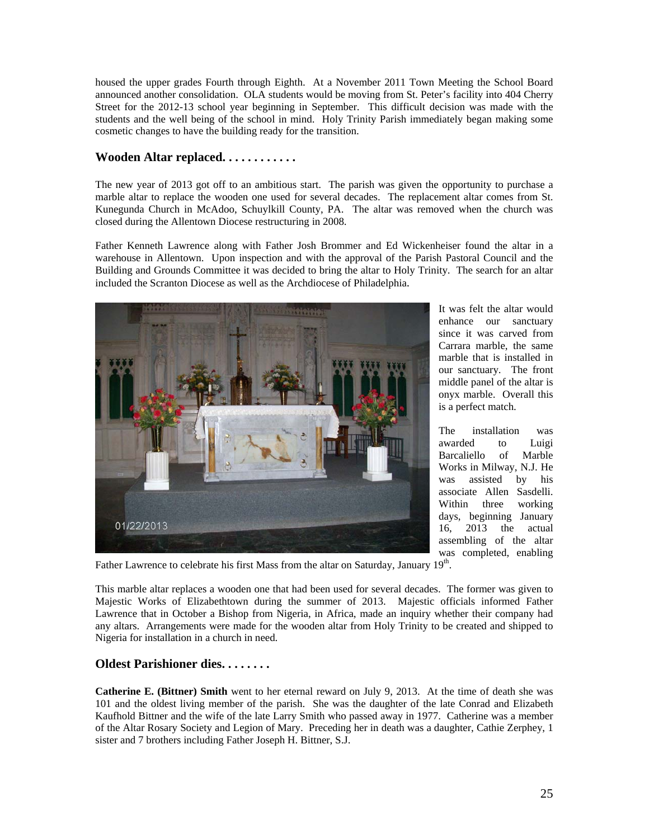housed the upper grades Fourth through Eighth. At a November 2011 Town Meeting the School Board announced another consolidation. OLA students would be moving from St. Peter's facility into 404 Cherry Street for the 2012-13 school year beginning in September. This difficult decision was made with the students and the well being of the school in mind. Holy Trinity Parish immediately began making some cosmetic changes to have the building ready for the transition.

### **Wooden Altar replaced. . . . . . . . . . . .**

The new year of 2013 got off to an ambitious start. The parish was given the opportunity to purchase a marble altar to replace the wooden one used for several decades. The replacement altar comes from St. Kunegunda Church in McAdoo, Schuylkill County, PA. The altar was removed when the church was closed during the Allentown Diocese restructuring in 2008.

Father Kenneth Lawrence along with Father Josh Brommer and Ed Wickenheiser found the altar in a warehouse in Allentown. Upon inspection and with the approval of the Parish Pastoral Council and the Building and Grounds Committee it was decided to bring the altar to Holy Trinity. The search for an altar included the Scranton Diocese as well as the Archdiocese of Philadelphia.



It was felt the altar would enhance our sanctuary since it was carved from Carrara marble, the same marble that is installed in our sanctuary. The front middle panel of the altar is onyx marble. Overall this is a perfect match.

The installation was awarded to Luigi Barcaliello of Marble Works in Milway, N.J. He was assisted by his associate Allen Sasdelli. Within three working days, beginning January 16, 2013 the actual assembling of the altar was completed, enabling

Father Lawrence to celebrate his first Mass from the altar on Saturday, January 19<sup>th</sup>.

This marble altar replaces a wooden one that had been used for several decades. The former was given to Majestic Works of Elizabethtown during the summer of 2013. Majestic officials informed Father Lawrence that in October a Bishop from Nigeria, in Africa, made an inquiry whether their company had any altars. Arrangements were made for the wooden altar from Holy Trinity to be created and shipped to Nigeria for installation in a church in need.

# **Oldest Parishioner dies. . . . . . . .**

**Catherine E. (Bittner) Smith** went to her eternal reward on July 9, 2013. At the time of death she was 101 and the oldest living member of the parish. She was the daughter of the late Conrad and Elizabeth Kaufhold Bittner and the wife of the late Larry Smith who passed away in 1977. Catherine was a member of the Altar Rosary Society and Legion of Mary. Preceding her in death was a daughter, Cathie Zerphey, 1 sister and 7 brothers including Father Joseph H. Bittner, S.J.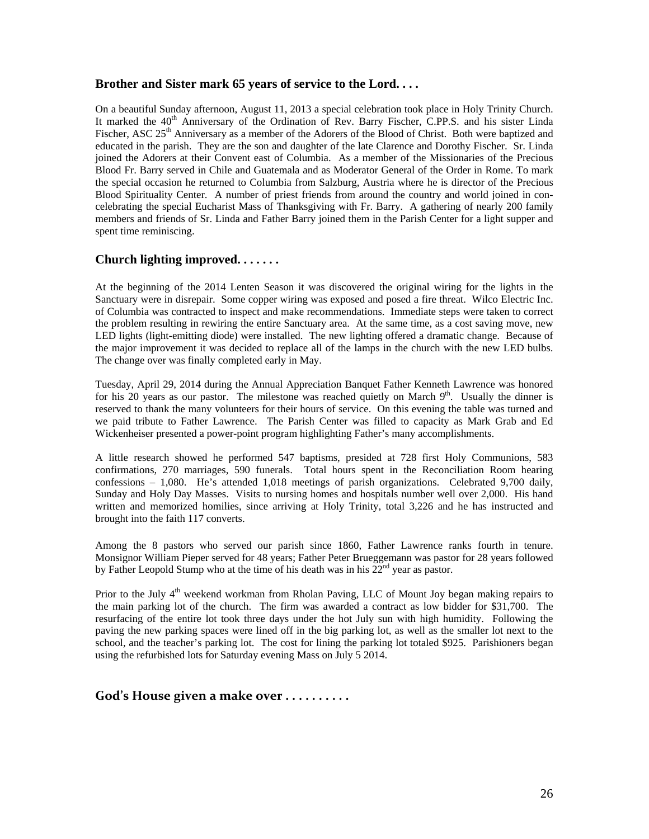### **Brother and Sister mark 65 years of service to the Lord. . . .**

On a beautiful Sunday afternoon, August 11, 2013 a special celebration took place in Holy Trinity Church. It marked the 40<sup>th</sup> Anniversary of the Ordination of Rev. Barry Fischer, C.PP.S. and his sister Linda Fischer, ASC 25<sup>th</sup> Anniversary as a member of the Adorers of the Blood of Christ. Both were baptized and educated in the parish. They are the son and daughter of the late Clarence and Dorothy Fischer. Sr. Linda joined the Adorers at their Convent east of Columbia. As a member of the Missionaries of the Precious Blood Fr. Barry served in Chile and Guatemala and as Moderator General of the Order in Rome. To mark the special occasion he returned to Columbia from Salzburg, Austria where he is director of the Precious Blood Spirituality Center. A number of priest friends from around the country and world joined in concelebrating the special Eucharist Mass of Thanksgiving with Fr. Barry. A gathering of nearly 200 family members and friends of Sr. Linda and Father Barry joined them in the Parish Center for a light supper and spent time reminiscing.

# **Church lighting improved. . . . . . .**

At the beginning of the 2014 Lenten Season it was discovered the original wiring for the lights in the Sanctuary were in disrepair. Some copper wiring was exposed and posed a fire threat. Wilco Electric Inc. of Columbia was contracted to inspect and make recommendations. Immediate steps were taken to correct the problem resulting in rewiring the entire Sanctuary area. At the same time, as a cost saving move, new LED lights (light-emitting diode) were installed. The new lighting offered a dramatic change. Because of the major improvement it was decided to replace all of the lamps in the church with the new LED bulbs. The change over was finally completed early in May.

Tuesday, April 29, 2014 during the Annual Appreciation Banquet Father Kenneth Lawrence was honored for his 20 years as our pastor. The milestone was reached quietly on March  $9<sup>th</sup>$ . Usually the dinner is reserved to thank the many volunteers for their hours of service. On this evening the table was turned and we paid tribute to Father Lawrence. The Parish Center was filled to capacity as Mark Grab and Ed Wickenheiser presented a power-point program highlighting Father's many accomplishments.

A little research showed he performed 547 baptisms, presided at 728 first Holy Communions, 583 confirmations, 270 marriages, 590 funerals. Total hours spent in the Reconciliation Room hearing confessions – 1,080. He's attended 1,018 meetings of parish organizations. Celebrated 9,700 daily, Sunday and Holy Day Masses. Visits to nursing homes and hospitals number well over 2,000. His hand written and memorized homilies, since arriving at Holy Trinity, total 3,226 and he has instructed and brought into the faith 117 converts.

Among the 8 pastors who served our parish since 1860, Father Lawrence ranks fourth in tenure. Monsignor William Pieper served for 48 years; Father Peter Brueggemann was pastor for 28 years followed by Father Leopold Stump who at the time of his death was in his  $22<sup>nd</sup>$  year as pastor.

Prior to the July 4<sup>th</sup> weekend workman from Rholan Paving, LLC of Mount Joy began making repairs to the main parking lot of the church. The firm was awarded a contract as low bidder for \$31,700. The resurfacing of the entire lot took three days under the hot July sun with high humidity. Following the paving the new parking spaces were lined off in the big parking lot, as well as the smaller lot next to the school, and the teacher's parking lot. The cost for lining the parking lot totaled \$925. Parishioners began using the refurbished lots for Saturday evening Mass on July 5 2014.

# **God's House given a make over . . . . . . . . . .**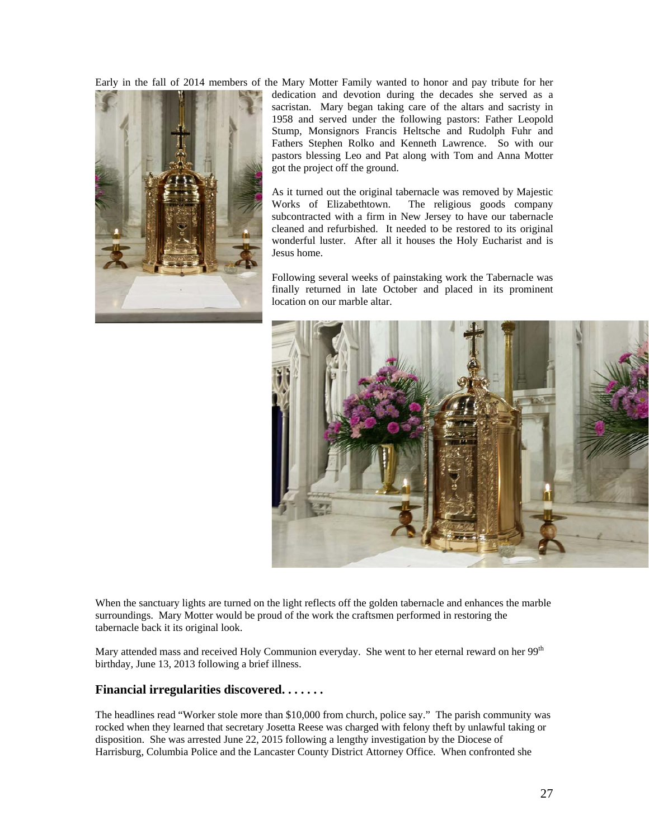Early in the fall of 2014 members of the Mary Motter Family wanted to honor and pay tribute for her



dedication and devotion during the decades she served as a sacristan. Mary began taking care of the altars and sacristy in 1958 and served under the following pastors: Father Leopold Stump, Monsignors Francis Heltsche and Rudolph Fuhr and Fathers Stephen Rolko and Kenneth Lawrence. So with our pastors blessing Leo and Pat along with Tom and Anna Motter got the project off the ground.

As it turned out the original tabernacle was removed by Majestic Works of Elizabethtown. The religious goods company subcontracted with a firm in New Jersey to have our tabernacle cleaned and refurbished. It needed to be restored to its original wonderful luster. After all it houses the Holy Eucharist and is Jesus home.

Following several weeks of painstaking work the Tabernacle was finally returned in late October and placed in its prominent location on our marble altar.



When the sanctuary lights are turned on the light reflects off the golden tabernacle and enhances the marble surroundings. Mary Motter would be proud of the work the craftsmen performed in restoring the tabernacle back it its original look.

Mary attended mass and received Holy Communion everyday. She went to her eternal reward on her 99<sup>th</sup> birthday, June 13, 2013 following a brief illness.

### **Financial irregularities discovered. . . . . . .**

The headlines read "Worker stole more than \$10,000 from church, police say." The parish community was rocked when they learned that secretary Josetta Reese was charged with felony theft by unlawful taking or disposition. She was arrested June 22, 2015 following a lengthy investigation by the Diocese of Harrisburg, Columbia Police and the Lancaster County District Attorney Office. When confronted she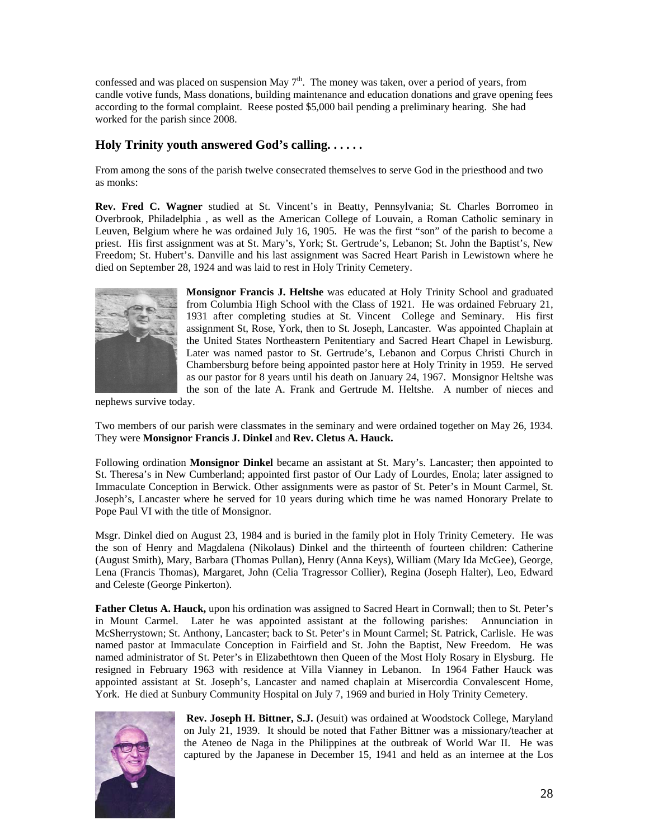confessed and was placed on suspension May  $7<sup>th</sup>$ . The money was taken, over a period of years, from candle votive funds, Mass donations, building maintenance and education donations and grave opening fees according to the formal complaint. Reese posted \$5,000 bail pending a preliminary hearing. She had worked for the parish since 2008.

# **Holy Trinity youth answered God's calling. . . . . .**

From among the sons of the parish twelve consecrated themselves to serve God in the priesthood and two as monks:

**Rev. Fred C. Wagner** studied at St. Vincent's in Beatty, Pennsylvania; St. Charles Borromeo in Overbrook, Philadelphia , as well as the American College of Louvain, a Roman Catholic seminary in Leuven, Belgium where he was ordained July 16, 1905. He was the first "son" of the parish to become a priest. His first assignment was at St. Mary's, York; St. Gertrude's, Lebanon; St. John the Baptist's, New Freedom; St. Hubert's. Danville and his last assignment was Sacred Heart Parish in Lewistown where he died on September 28, 1924 and was laid to rest in Holy Trinity Cemetery.



**Monsignor Francis J. Heltshe** was educated at Holy Trinity School and graduated from Columbia High School with the Class of 1921. He was ordained February 21, 1931 after completing studies at St. Vincent College and Seminary. His first assignment St, Rose, York, then to St. Joseph, Lancaster. Was appointed Chaplain at the United States Northeastern Penitentiary and Sacred Heart Chapel in Lewisburg. Later was named pastor to St. Gertrude's, Lebanon and Corpus Christi Church in Chambersburg before being appointed pastor here at Holy Trinity in 1959. He served as our pastor for 8 years until his death on January 24, 1967. Monsignor Heltshe was the son of the late A. Frank and Gertrude M. Heltshe. A number of nieces and

nephews survive today.

Two members of our parish were classmates in the seminary and were ordained together on May 26, 1934. They were **Monsignor Francis J. Dinkel** and **Rev. Cletus A. Hauck.** 

Following ordination **Monsignor Dinkel** became an assistant at St. Mary's. Lancaster; then appointed to St. Theresa's in New Cumberland; appointed first pastor of Our Lady of Lourdes, Enola; later assigned to Immaculate Conception in Berwick. Other assignments were as pastor of St. Peter's in Mount Carmel, St. Joseph's, Lancaster where he served for 10 years during which time he was named Honorary Prelate to Pope Paul VI with the title of Monsignor.

Msgr. Dinkel died on August 23, 1984 and is buried in the family plot in Holy Trinity Cemetery. He was the son of Henry and Magdalena (Nikolaus) Dinkel and the thirteenth of fourteen children: Catherine (August Smith), Mary, Barbara (Thomas Pullan), Henry (Anna Keys), William (Mary Ida McGee), George, Lena (Francis Thomas), Margaret, John (Celia Tragressor Collier), Regina (Joseph Halter), Leo, Edward and Celeste (George Pinkerton).

**Father Cletus A. Hauck,** upon his ordination was assigned to Sacred Heart in Cornwall; then to St. Peter's in Mount Carmel. Later he was appointed assistant at the following parishes: Annunciation in McSherrystown; St. Anthony, Lancaster; back to St. Peter's in Mount Carmel; St. Patrick, Carlisle. He was named pastor at Immaculate Conception in Fairfield and St. John the Baptist, New Freedom. He was named administrator of St. Peter's in Elizabethtown then Queen of the Most Holy Rosary in Elysburg. He resigned in February 1963 with residence at Villa Vianney in Lebanon. In 1964 Father Hauck was appointed assistant at St. Joseph's, Lancaster and named chaplain at Misercordia Convalescent Home, York. He died at Sunbury Community Hospital on July 7, 1969 and buried in Holy Trinity Cemetery.



 **Rev. Joseph H. Bittner, S.J.** (Jesuit) was ordained at Woodstock College, Maryland on July 21, 1939. It should be noted that Father Bittner was a missionary/teacher at the Ateneo de Naga in the Philippines at the outbreak of World War II. He was captured by the Japanese in December 15, 1941 and held as an internee at the Los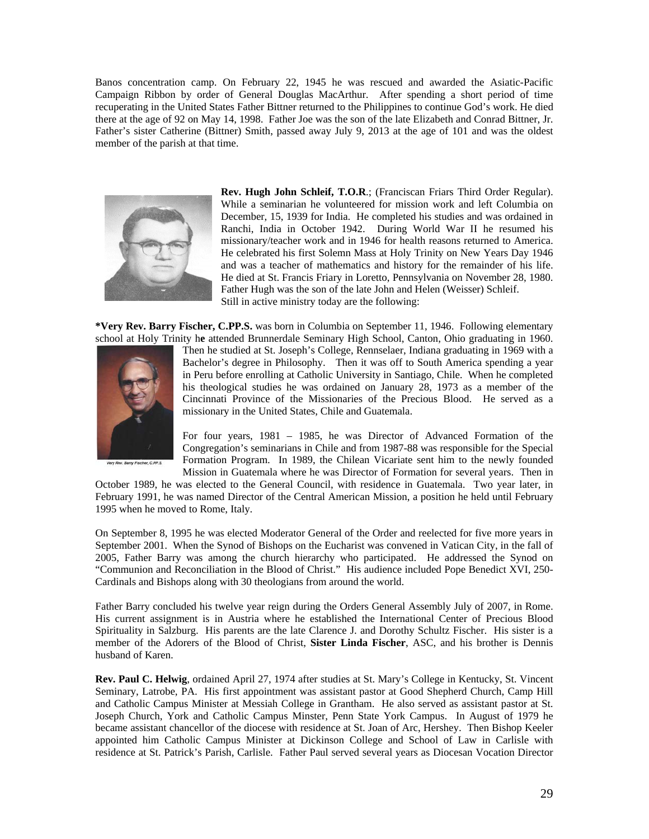Banos concentration camp. On February 22, 1945 he was rescued and awarded the Asiatic-Pacific Campaign Ribbon by order of General Douglas MacArthur. After spending a short period of time recuperating in the United States Father Bittner returned to the Philippines to continue God's work. He died there at the age of 92 on May 14, 1998. Father Joe was the son of the late Elizabeth and Conrad Bittner, Jr. Father's sister Catherine (Bittner) Smith, passed away July 9, 2013 at the age of 101 and was the oldest member of the parish at that time.



**Rev. Hugh John Schleif, T.O.R**.; (Franciscan Friars Third Order Regular). While a seminarian he volunteered for mission work and left Columbia on December, 15, 1939 for India. He completed his studies and was ordained in Ranchi, India in October 1942. During World War II he resumed his missionary/teacher work and in 1946 for health reasons returned to America. He celebrated his first Solemn Mass at Holy Trinity on New Years Day 1946 and was a teacher of mathematics and history for the remainder of his life. He died at St. Francis Friary in Loretto, Pennsylvania on November 28, 1980. Father Hugh was the son of the late John and Helen (Weisser) Schleif. Still in active ministry today are the following:

**\*Very Rev. Barry Fischer, C.PP.S.** was born in Columbia on September 11, 1946. Following elementary school at Holy Trinity h**e** attended Brunnerdale Seminary High School, Canton, Ohio graduating in 1960.



Then he studied at St. Joseph's College, Rennselaer, Indiana graduating in 1969 with a Bachelor's degree in Philosophy. Then it was off to South America spending a year in Peru before enrolling at Catholic University in Santiago, Chile. When he completed his theological studies he was ordained on January 28, 1973 as a member of the Cincinnati Province of the Missionaries of the Precious Blood. He served as a missionary in the United States, Chile and Guatemala.

For four years, 1981 – 1985, he was Director of Advanced Formation of the Congregation's seminarians in Chile and from 1987-88 was responsible for the Special Formation Program. In 1989, the Chilean Vicariate sent him to the newly founded Mission in Guatemala where he was Director of Formation for several years. Then in

October 1989, he was elected to the General Council, with residence in Guatemala. Two year later, in February 1991, he was named Director of the Central American Mission, a position he held until February 1995 when he moved to Rome, Italy.

On September 8, 1995 he was elected Moderator General of the Order and reelected for five more years in September 2001. When the Synod of Bishops on the Eucharist was convened in Vatican City, in the fall of 2005, Father Barry was among the church hierarchy who participated. He addressed the Synod on "Communion and Reconciliation in the Blood of Christ." His audience included Pope Benedict XVI, 250- Cardinals and Bishops along with 30 theologians from around the world.

Father Barry concluded his twelve year reign during the Orders General Assembly July of 2007, in Rome. His current assignment is in Austria where he established the International Center of Precious Blood Spirituality in Salzburg. His parents are the late Clarence J. and Dorothy Schultz Fischer. His sister is a member of the Adorers of the Blood of Christ, **Sister Linda Fischer**, ASC, and his brother is Dennis husband of Karen.

**Rev. Paul C. Helwig**, ordained April 27, 1974 after studies at St. Mary's College in Kentucky, St. Vincent Seminary, Latrobe, PA. His first appointment was assistant pastor at Good Shepherd Church, Camp Hill and Catholic Campus Minister at Messiah College in Grantham. He also served as assistant pastor at St. Joseph Church, York and Catholic Campus Minster, Penn State York Campus. In August of 1979 he became assistant chancellor of the diocese with residence at St. Joan of Arc, Hershey. Then Bishop Keeler appointed him Catholic Campus Minister at Dickinson College and School of Law in Carlisle with residence at St. Patrick's Parish, Carlisle. Father Paul served several years as Diocesan Vocation Director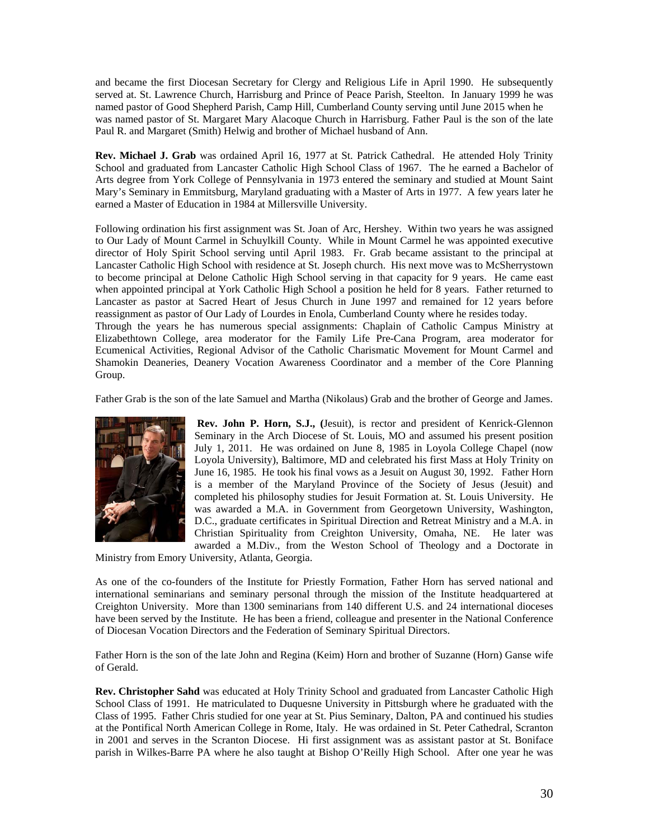and became the first Diocesan Secretary for Clergy and Religious Life in April 1990. He subsequently served at. St. Lawrence Church, Harrisburg and Prince of Peace Parish, Steelton. In January 1999 he was named pastor of Good Shepherd Parish, Camp Hill, Cumberland County serving until June 2015 when he was named pastor of St. Margaret Mary Alacoque Church in Harrisburg. Father Paul is the son of the late Paul R. and Margaret (Smith) Helwig and brother of Michael husband of Ann.

**Rev. Michael J. Grab** was ordained April 16, 1977 at St. Patrick Cathedral. He attended Holy Trinity School and graduated from Lancaster Catholic High School Class of 1967. The he earned a Bachelor of Arts degree from York College of Pennsylvania in 1973 entered the seminary and studied at Mount Saint Mary's Seminary in Emmitsburg, Maryland graduating with a Master of Arts in 1977. A few years later he earned a Master of Education in 1984 at Millersville University.

Following ordination his first assignment was St. Joan of Arc, Hershey. Within two years he was assigned to Our Lady of Mount Carmel in Schuylkill County. While in Mount Carmel he was appointed executive director of Holy Spirit School serving until April 1983. Fr. Grab became assistant to the principal at Lancaster Catholic High School with residence at St. Joseph church. His next move was to McSherrystown to become principal at Delone Catholic High School serving in that capacity for 9 years. He came east when appointed principal at York Catholic High School a position he held for 8 years. Father returned to Lancaster as pastor at Sacred Heart of Jesus Church in June 1997 and remained for 12 years before reassignment as pastor of Our Lady of Lourdes in Enola, Cumberland County where he resides today.

Through the years he has numerous special assignments: Chaplain of Catholic Campus Ministry at Elizabethtown College, area moderator for the Family Life Pre-Cana Program, area moderator for Ecumenical Activities, Regional Advisor of the Catholic Charismatic Movement for Mount Carmel and Shamokin Deaneries, Deanery Vocation Awareness Coordinator and a member of the Core Planning Group.

Father Grab is the son of the late Samuel and Martha (Nikolaus) Grab and the brother of George and James.



 **Rev. John P. Horn, S.J., (**Jesuit), is rector and president of Kenrick-Glennon Seminary in the Arch Diocese of St. Louis, MO and assumed his present position July 1, 2011. He was ordained on June 8, 1985 in Loyola College Chapel (now Loyola University), Baltimore, MD and celebrated his first Mass at Holy Trinity on June 16, 1985. He took his final vows as a Jesuit on August 30, 1992. Father Horn is a member of the Maryland Province of the Society of Jesus (Jesuit) and completed his philosophy studies for Jesuit Formation at. St. Louis University. He was awarded a M.A. in Government from Georgetown University, Washington, D.C., graduate certificates in Spiritual Direction and Retreat Ministry and a M.A. in Christian Spirituality from Creighton University, Omaha, NE. He later was awarded a M.Div., from the Weston School of Theology and a Doctorate in

Ministry from Emory University, Atlanta, Georgia.

As one of the co-founders of the Institute for Priestly Formation, Father Horn has served national and international seminarians and seminary personal through the mission of the Institute headquartered at Creighton University. More than 1300 seminarians from 140 different U.S. and 24 international dioceses have been served by the Institute. He has been a friend, colleague and presenter in the National Conference of Diocesan Vocation Directors and the Federation of Seminary Spiritual Directors.

Father Horn is the son of the late John and Regina (Keim) Horn and brother of Suzanne (Horn) Ganse wife of Gerald.

**Rev. Christopher Sahd** was educated at Holy Trinity School and graduated from Lancaster Catholic High School Class of 1991. He matriculated to Duquesne University in Pittsburgh where he graduated with the Class of 1995. Father Chris studied for one year at St. Pius Seminary, Dalton, PA and continued his studies at the Pontifical North American College in Rome, Italy. He was ordained in St. Peter Cathedral, Scranton in 2001 and serves in the Scranton Diocese. Hi first assignment was as assistant pastor at St. Boniface parish in Wilkes-Barre PA where he also taught at Bishop O'Reilly High School. After one year he was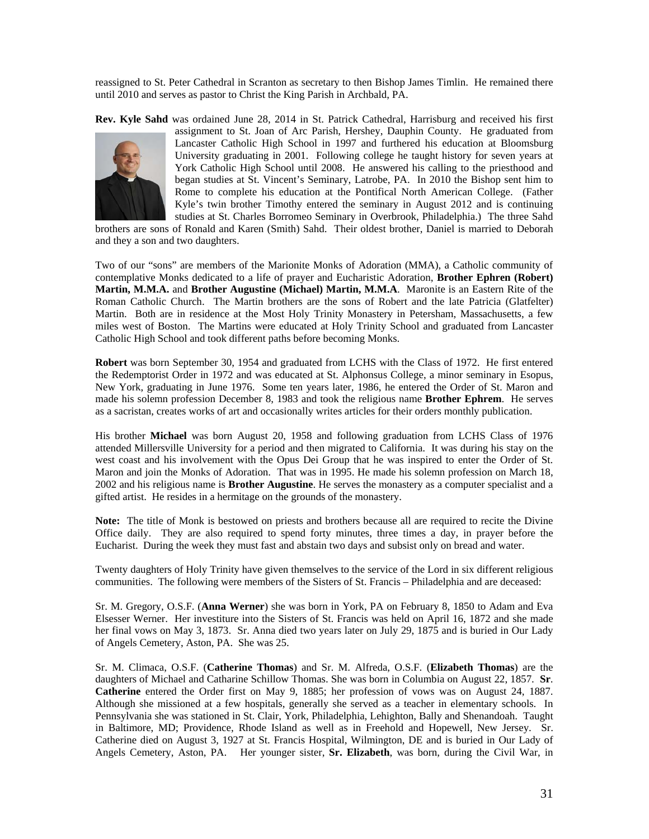reassigned to St. Peter Cathedral in Scranton as secretary to then Bishop James Timlin. He remained there until 2010 and serves as pastor to Christ the King Parish in Archbald, PA.

**Rev. Kyle Sahd** was ordained June 28, 2014 in St. Patrick Cathedral, Harrisburg and received his first



assignment to St. Joan of Arc Parish, Hershey, Dauphin County. He graduated from Lancaster Catholic High School in 1997 and furthered his education at Bloomsburg University graduating in 2001. Following college he taught history for seven years at York Catholic High School until 2008. He answered his calling to the priesthood and began studies at St. Vincent's Seminary, Latrobe, PA. In 2010 the Bishop sent him to Rome to complete his education at the Pontifical North American College. (Father Kyle's twin brother Timothy entered the seminary in August 2012 and is continuing studies at St. Charles Borromeo Seminary in Overbrook, Philadelphia.) The three Sahd

brothers are sons of Ronald and Karen (Smith) Sahd. Their oldest brother, Daniel is married to Deborah and they a son and two daughters.

Two of our "sons" are members of the Marionite Monks of Adoration (MMA), a Catholic community of contemplative Monks dedicated to a life of prayer and Eucharistic Adoration, **Brother Ephren (Robert) Martin, M.M.A.** and **Brother Augustine (Michael) Martin, M.M.A**. Maronite is an Eastern Rite of the Roman Catholic Church. The Martin brothers are the sons of Robert and the late Patricia (Glatfelter) Martin. Both are in residence at the Most Holy Trinity Monastery in Petersham, Massachusetts, a few miles west of Boston. The Martins were educated at Holy Trinity School and graduated from Lancaster Catholic High School and took different paths before becoming Monks.

**Robert** was born September 30, 1954 and graduated from LCHS with the Class of 1972. He first entered the Redemptorist Order in 1972 and was educated at St. Alphonsus College, a minor seminary in Esopus, New York, graduating in June 1976. Some ten years later, 1986, he entered the Order of St. Maron and made his solemn profession December 8, 1983 and took the religious name **Brother Ephrem**. He serves as a sacristan, creates works of art and occasionally writes articles for their orders monthly publication.

His brother **Michael** was born August 20, 1958 and following graduation from LCHS Class of 1976 attended Millersville University for a period and then migrated to California. It was during his stay on the west coast and his involvement with the Opus Dei Group that he was inspired to enter the Order of St. Maron and join the Monks of Adoration. That was in 1995. He made his solemn profession on March 18, 2002 and his religious name is **Brother Augustine**. He serves the monastery as a computer specialist and a gifted artist. He resides in a hermitage on the grounds of the monastery.

**Note:** The title of Monk is bestowed on priests and brothers because all are required to recite the Divine Office daily. They are also required to spend forty minutes, three times a day, in prayer before the Eucharist. During the week they must fast and abstain two days and subsist only on bread and water.

Twenty daughters of Holy Trinity have given themselves to the service of the Lord in six different religious communities. The following were members of the Sisters of St. Francis – Philadelphia and are deceased:

Sr. M. Gregory, O.S.F. (**Anna Werner**) she was born in York, PA on February 8, 1850 to Adam and Eva Elsesser Werner. Her investiture into the Sisters of St. Francis was held on April 16, 1872 and she made her final vows on May 3, 1873. Sr. Anna died two years later on July 29, 1875 and is buried in Our Lady of Angels Cemetery, Aston, PA. She was 25.

Sr. M. Climaca, O.S.F. (**Catherine Thomas**) and Sr. M. Alfreda, O.S.F. (**Elizabeth Thomas**) are the daughters of Michael and Catharine Schillow Thomas. She was born in Columbia on August 22, 1857. **Sr**. **Catherine** entered the Order first on May 9, 1885; her profession of vows was on August 24, 1887. Although she missioned at a few hospitals, generally she served as a teacher in elementary schools. In Pennsylvania she was stationed in St. Clair, York, Philadelphia, Lehighton, Bally and Shenandoah. Taught in Baltimore, MD; Providence, Rhode Island as well as in Freehold and Hopewell, New Jersey. Sr. Catherine died on August 3, 1927 at St. Francis Hospital, Wilmington, DE and is buried in Our Lady of Angels Cemetery, Aston, PA. Her younger sister, **Sr. Elizabeth**, was born, during the Civil War, in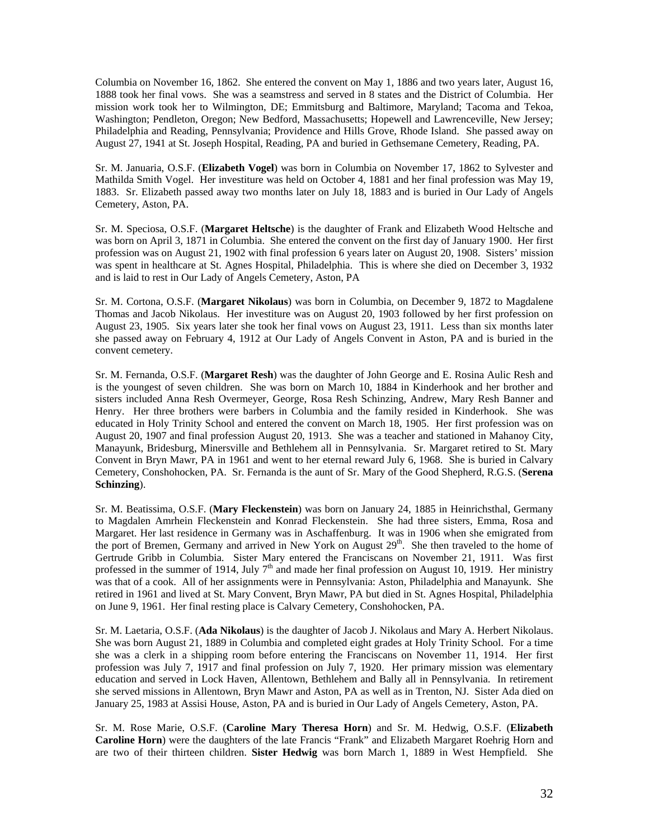Columbia on November 16, 1862. She entered the convent on May 1, 1886 and two years later, August 16, 1888 took her final vows. She was a seamstress and served in 8 states and the District of Columbia. Her mission work took her to Wilmington, DE; Emmitsburg and Baltimore, Maryland; Tacoma and Tekoa, Washington; Pendleton, Oregon; New Bedford, Massachusetts; Hopewell and Lawrenceville, New Jersey; Philadelphia and Reading, Pennsylvania; Providence and Hills Grove, Rhode Island. She passed away on August 27, 1941 at St. Joseph Hospital, Reading, PA and buried in Gethsemane Cemetery, Reading, PA.

Sr. M. Januaria, O.S.F. (**Elizabeth Vogel**) was born in Columbia on November 17, 1862 to Sylvester and Mathilda Smith Vogel. Her investiture was held on October 4, 1881 and her final profession was May 19, 1883. Sr. Elizabeth passed away two months later on July 18, 1883 and is buried in Our Lady of Angels Cemetery, Aston, PA.

Sr. M. Speciosa, O.S.F. (**Margaret Heltsche**) is the daughter of Frank and Elizabeth Wood Heltsche and was born on April 3, 1871 in Columbia. She entered the convent on the first day of January 1900. Her first profession was on August 21, 1902 with final profession 6 years later on August 20, 1908. Sisters' mission was spent in healthcare at St. Agnes Hospital, Philadelphia. This is where she died on December 3, 1932 and is laid to rest in Our Lady of Angels Cemetery, Aston, PA

Sr. M. Cortona, O.S.F. (**Margaret Nikolaus**) was born in Columbia, on December 9, 1872 to Magdalene Thomas and Jacob Nikolaus. Her investiture was on August 20, 1903 followed by her first profession on August 23, 1905. Six years later she took her final vows on August 23, 1911. Less than six months later she passed away on February 4, 1912 at Our Lady of Angels Convent in Aston, PA and is buried in the convent cemetery.

Sr. M. Fernanda, O.S.F. (**Margaret Resh**) was the daughter of John George and E. Rosina Aulic Resh and is the youngest of seven children. She was born on March 10, 1884 in Kinderhook and her brother and sisters included Anna Resh Overmeyer, George, Rosa Resh Schinzing, Andrew, Mary Resh Banner and Henry. Her three brothers were barbers in Columbia and the family resided in Kinderhook. She was educated in Holy Trinity School and entered the convent on March 18, 1905. Her first profession was on August 20, 1907 and final profession August 20, 1913. She was a teacher and stationed in Mahanoy City, Manayunk, Bridesburg, Minersville and Bethlehem all in Pennsylvania. Sr. Margaret retired to St. Mary Convent in Bryn Mawr, PA in 1961 and went to her eternal reward July 6, 1968. She is buried in Calvary Cemetery, Conshohocken, PA. Sr. Fernanda is the aunt of Sr. Mary of the Good Shepherd, R.G.S. (**Serena Schinzing**).

Sr. M. Beatissima, O.S.F. (**Mary Fleckenstein**) was born on January 24, 1885 in Heinrichsthal, Germany to Magdalen Amrhein Fleckenstein and Konrad Fleckenstein. She had three sisters, Emma, Rosa and Margaret. Her last residence in Germany was in Aschaffenburg. It was in 1906 when she emigrated from the port of Bremen, Germany and arrived in New York on August  $29<sup>th</sup>$ . She then traveled to the home of Gertrude Gribb in Columbia. Sister Mary entered the Franciscans on November 21, 1911. Was first professed in the summer of 1914, July  $7<sup>th</sup>$  and made her final profession on August 10, 1919. Her ministry was that of a cook. All of her assignments were in Pennsylvania: Aston, Philadelphia and Manayunk. She retired in 1961 and lived at St. Mary Convent, Bryn Mawr, PA but died in St. Agnes Hospital, Philadelphia on June 9, 1961. Her final resting place is Calvary Cemetery, Conshohocken, PA.

Sr. M. Laetaria, O.S.F. (**Ada Nikolaus**) is the daughter of Jacob J. Nikolaus and Mary A. Herbert Nikolaus. She was born August 21, 1889 in Columbia and completed eight grades at Holy Trinity School. For a time she was a clerk in a shipping room before entering the Franciscans on November 11, 1914. Her first profession was July 7, 1917 and final profession on July 7, 1920. Her primary mission was elementary education and served in Lock Haven, Allentown, Bethlehem and Bally all in Pennsylvania. In retirement she served missions in Allentown, Bryn Mawr and Aston, PA as well as in Trenton, NJ. Sister Ada died on January 25, 1983 at Assisi House, Aston, PA and is buried in Our Lady of Angels Cemetery, Aston, PA.

Sr. M. Rose Marie, O.S.F. (**Caroline Mary Theresa Horn**) and Sr. M. Hedwig, O.S.F. (**Elizabeth Caroline Horn**) were the daughters of the late Francis "Frank" and Elizabeth Margaret Roehrig Horn and are two of their thirteen children. **Sister Hedwig** was born March 1, 1889 in West Hempfield. She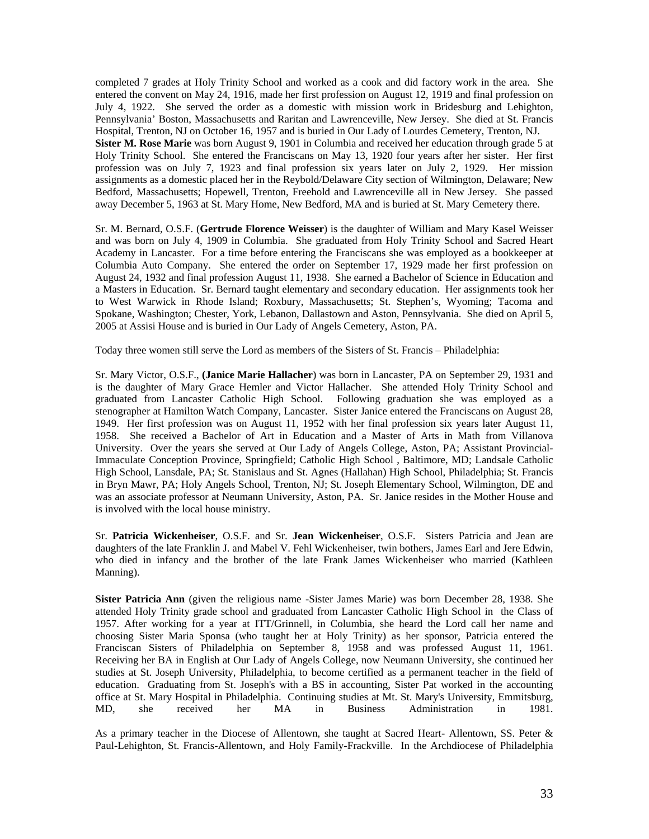completed 7 grades at Holy Trinity School and worked as a cook and did factory work in the area. She entered the convent on May 24, 1916, made her first profession on August 12, 1919 and final profession on July 4, 1922. She served the order as a domestic with mission work in Bridesburg and Lehighton, Pennsylvania' Boston, Massachusetts and Raritan and Lawrenceville, New Jersey. She died at St. Francis Hospital, Trenton, NJ on October 16, 1957 and is buried in Our Lady of Lourdes Cemetery, Trenton, NJ. **Sister M. Rose Marie** was born August 9, 1901 in Columbia and received her education through grade 5 at Holy Trinity School. She entered the Franciscans on May 13, 1920 four years after her sister. Her first profession was on July 7, 1923 and final profession six years later on July 2, 1929. Her mission assignments as a domestic placed her in the Reybold/Delaware City section of Wilmington, Delaware; New Bedford, Massachusetts; Hopewell, Trenton, Freehold and Lawrenceville all in New Jersey. She passed away December 5, 1963 at St. Mary Home, New Bedford, MA and is buried at St. Mary Cemetery there.

Sr. M. Bernard, O.S.F. (**Gertrude Florence Weisser**) is the daughter of William and Mary Kasel Weisser and was born on July 4, 1909 in Columbia. She graduated from Holy Trinity School and Sacred Heart Academy in Lancaster. For a time before entering the Franciscans she was employed as a bookkeeper at Columbia Auto Company. She entered the order on September 17, 1929 made her first profession on August 24, 1932 and final profession August 11, 1938. She earned a Bachelor of Science in Education and a Masters in Education. Sr. Bernard taught elementary and secondary education. Her assignments took her to West Warwick in Rhode Island; Roxbury, Massachusetts; St. Stephen's, Wyoming; Tacoma and Spokane, Washington; Chester, York, Lebanon, Dallastown and Aston, Pennsylvania. She died on April 5, 2005 at Assisi House and is buried in Our Lady of Angels Cemetery, Aston, PA.

Today three women still serve the Lord as members of the Sisters of St. Francis – Philadelphia:

Sr. Mary Victor, O.S.F., **(Janice Marie Hallacher**) was born in Lancaster, PA on September 29, 1931 and is the daughter of Mary Grace Hemler and Victor Hallacher. She attended Holy Trinity School and graduated from Lancaster Catholic High School. Following graduation she was employed as a stenographer at Hamilton Watch Company, Lancaster. Sister Janice entered the Franciscans on August 28, 1949. Her first profession was on August 11, 1952 with her final profession six years later August 11, 1958. She received a Bachelor of Art in Education and a Master of Arts in Math from Villanova University. Over the years she served at Our Lady of Angels College, Aston, PA; Assistant Provincial-Immaculate Conception Province, Springfield; Catholic High School , Baltimore, MD; Landsale Catholic High School, Lansdale, PA; St. Stanislaus and St. Agnes (Hallahan) High School, Philadelphia; St. Francis in Bryn Mawr, PA; Holy Angels School, Trenton, NJ; St. Joseph Elementary School, Wilmington, DE and was an associate professor at Neumann University, Aston, PA. Sr. Janice resides in the Mother House and is involved with the local house ministry.

Sr. **Patricia Wickenheiser**, O.S.F. and Sr. **Jean Wickenheiser**, O.S.F. Sisters Patricia and Jean are daughters of the late Franklin J. and Mabel V. Fehl Wickenheiser, twin bothers, James Earl and Jere Edwin, who died in infancy and the brother of the late Frank James Wickenheiser who married (Kathleen Manning).

**Sister Patricia Ann** (given the religious name -Sister James Marie) was born December 28, 1938. She attended Holy Trinity grade school and graduated from Lancaster Catholic High School in the Class of 1957. After working for a year at ITT/Grinnell, in Columbia, she heard the Lord call her name and choosing Sister Maria Sponsa (who taught her at Holy Trinity) as her sponsor, Patricia entered the Franciscan Sisters of Philadelphia on September 8, 1958 and was professed August 11, 1961. Receiving her BA in English at Our Lady of Angels College, now Neumann University, she continued her studies at St. Joseph University, Philadelphia, to become certified as a permanent teacher in the field of education. Graduating from St. Joseph's with a BS in accounting, Sister Pat worked in the accounting office at St. Mary Hospital in Philadelphia. Continuing studies at Mt. St. Mary's University, Emmitsburg,<br>
MD, she received her MA in Business Administration in 1981. MD, she received her MA in Business Administration in 1981.

As a primary teacher in the Diocese of Allentown, she taught at Sacred Heart- Allentown, SS. Peter & Paul-Lehighton, St. Francis-Allentown, and Holy Family-Frackville. In the Archdiocese of Philadelphia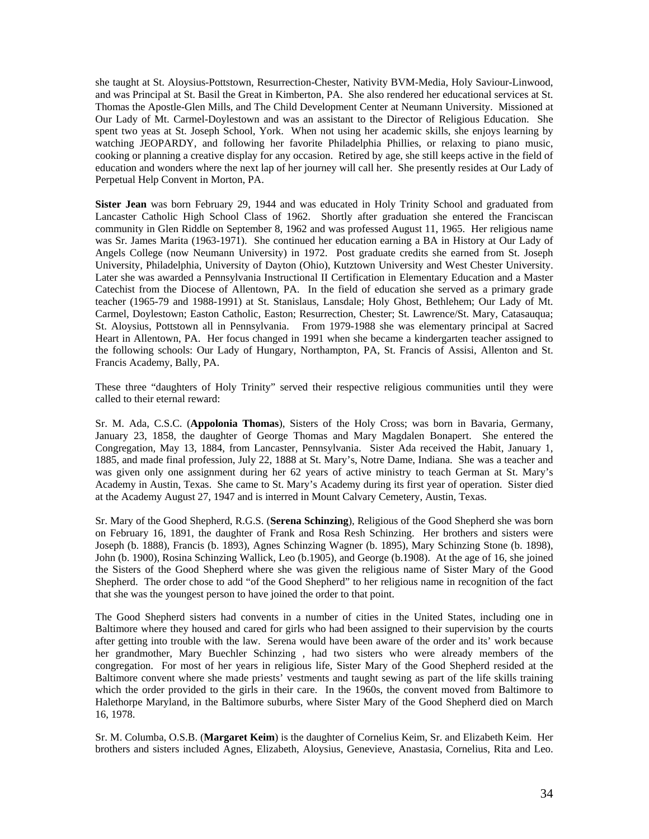she taught at St. Aloysius-Pottstown, Resurrection-Chester, Nativity BVM-Media, Holy Saviour-Linwood, and was Principal at St. Basil the Great in Kimberton, PA. She also rendered her educational services at St. Thomas the Apostle-Glen Mills, and The Child Development Center at Neumann University. Missioned at Our Lady of Mt. Carmel-Doylestown and was an assistant to the Director of Religious Education. She spent two yeas at St. Joseph School, York. When not using her academic skills, she enjoys learning by watching JEOPARDY, and following her favorite Philadelphia Phillies, or relaxing to piano music, cooking or planning a creative display for any occasion. Retired by age, she still keeps active in the field of education and wonders where the next lap of her journey will call her. She presently resides at Our Lady of Perpetual Help Convent in Morton, PA.

**Sister Jean** was born February 29, 1944 and was educated in Holy Trinity School and graduated from Lancaster Catholic High School Class of 1962. Shortly after graduation she entered the Franciscan community in Glen Riddle on September 8, 1962 and was professed August 11, 1965. Her religious name was Sr. James Marita (1963-1971). She continued her education earning a BA in History at Our Lady of Angels College (now Neumann University) in 1972. Post graduate credits she earned from St. Joseph University, Philadelphia, University of Dayton (Ohio), Kutztown University and West Chester University. Later she was awarded a Pennsylvania Instructional II Certification in Elementary Education and a Master Catechist from the Diocese of Allentown, PA. In the field of education she served as a primary grade teacher (1965-79 and 1988-1991) at St. Stanislaus, Lansdale; Holy Ghost, Bethlehem; Our Lady of Mt. Carmel, Doylestown; Easton Catholic, Easton; Resurrection, Chester; St. Lawrence/St. Mary, Catasauqua; St. Aloysius, Pottstown all in Pennsylvania. From 1979-1988 she was elementary principal at Sacred Heart in Allentown, PA. Her focus changed in 1991 when she became a kindergarten teacher assigned to the following schools: Our Lady of Hungary, Northampton, PA, St. Francis of Assisi, Allenton and St. Francis Academy, Bally, PA.

These three "daughters of Holy Trinity" served their respective religious communities until they were called to their eternal reward:

Sr. M. Ada, C.S.C. (**Appolonia Thomas**), Sisters of the Holy Cross; was born in Bavaria, Germany, January 23, 1858, the daughter of George Thomas and Mary Magdalen Bonapert. She entered the Congregation, May 13, 1884, from Lancaster, Pennsylvania. Sister Ada received the Habit, January 1, 1885, and made final profession, July 22, 1888 at St. Mary's, Notre Dame, Indiana. She was a teacher and was given only one assignment during her 62 years of active ministry to teach German at St. Mary's Academy in Austin, Texas. She came to St. Mary's Academy during its first year of operation. Sister died at the Academy August 27, 1947 and is interred in Mount Calvary Cemetery, Austin, Texas.

Sr. Mary of the Good Shepherd, R.G.S. (**Serena Schinzing**), Religious of the Good Shepherd she was born on February 16, 1891, the daughter of Frank and Rosa Resh Schinzing. Her brothers and sisters were Joseph (b. 1888), Francis (b. 1893), Agnes Schinzing Wagner (b. 1895), Mary Schinzing Stone (b. 1898), John (b. 1900), Rosina Schinzing Wallick, Leo (b.1905), and George (b.1908). At the age of 16, she joined the Sisters of the Good Shepherd where she was given the religious name of Sister Mary of the Good Shepherd. The order chose to add "of the Good Shepherd" to her religious name in recognition of the fact that she was the youngest person to have joined the order to that point.

The Good Shepherd sisters had convents in a number of cities in the United States, including one in Baltimore where they housed and cared for girls who had been assigned to their supervision by the courts after getting into trouble with the law. Serena would have been aware of the order and its' work because her grandmother, Mary Buechler Schinzing , had two sisters who were already members of the congregation. For most of her years in religious life, Sister Mary of the Good Shepherd resided at the Baltimore convent where she made priests' vestments and taught sewing as part of the life skills training which the order provided to the girls in their care. In the 1960s, the convent moved from Baltimore to Halethorpe Maryland, in the Baltimore suburbs, where Sister Mary of the Good Shepherd died on March 16, 1978.

Sr. M. Columba, O.S.B. (**Margaret Keim**) is the daughter of Cornelius Keim, Sr. and Elizabeth Keim. Her brothers and sisters included Agnes, Elizabeth, Aloysius, Genevieve, Anastasia, Cornelius, Rita and Leo.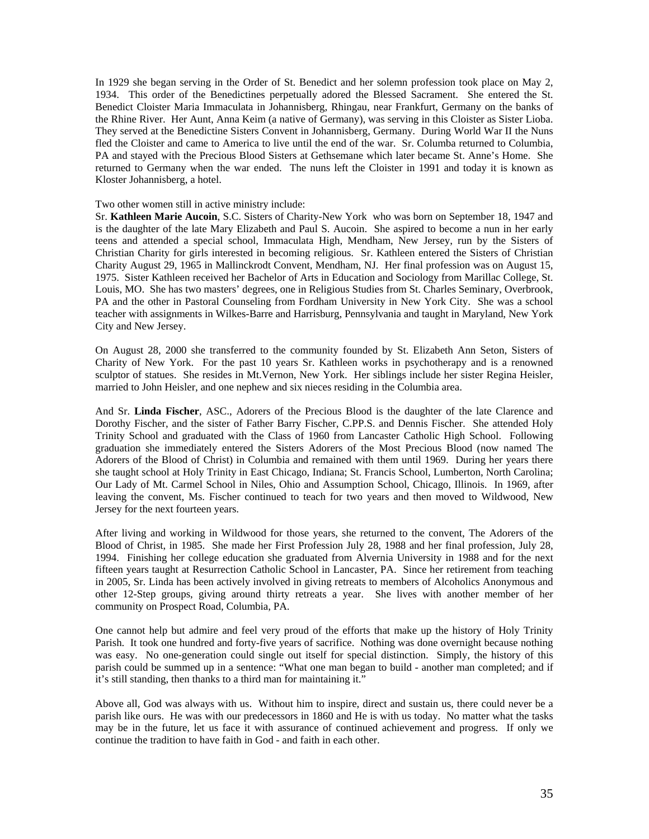In 1929 she began serving in the Order of St. Benedict and her solemn profession took place on May 2, 1934. This order of the Benedictines perpetually adored the Blessed Sacrament. She entered the St. Benedict Cloister Maria Immaculata in Johannisberg, Rhingau, near Frankfurt, Germany on the banks of the Rhine River. Her Aunt, Anna Keim (a native of Germany), was serving in this Cloister as Sister Lioba. They served at the Benedictine Sisters Convent in Johannisberg, Germany. During World War II the Nuns fled the Cloister and came to America to live until the end of the war. Sr. Columba returned to Columbia, PA and stayed with the Precious Blood Sisters at Gethsemane which later became St. Anne's Home. She returned to Germany when the war ended. The nuns left the Cloister in 1991 and today it is known as Kloster Johannisberg, a hotel.

#### Two other women still in active ministry include:

Sr. **Kathleen Marie Aucoin**, S.C. Sisters of Charity-New York who was born on September 18, 1947 and is the daughter of the late Mary Elizabeth and Paul S. Aucoin. She aspired to become a nun in her early teens and attended a special school, Immaculata High, Mendham, New Jersey, run by the Sisters of Christian Charity for girls interested in becoming religious. Sr. Kathleen entered the Sisters of Christian Charity August 29, 1965 in Mallinckrodt Convent, Mendham, NJ. Her final profession was on August 15, 1975. Sister Kathleen received her Bachelor of Arts in Education and Sociology from Marillac College, St. Louis, MO. She has two masters' degrees, one in Religious Studies from St. Charles Seminary, Overbrook, PA and the other in Pastoral Counseling from Fordham University in New York City. She was a school teacher with assignments in Wilkes-Barre and Harrisburg, Pennsylvania and taught in Maryland, New York City and New Jersey.

On August 28, 2000 she transferred to the community founded by St. Elizabeth Ann Seton, Sisters of Charity of New York. For the past 10 years Sr. Kathleen works in psychotherapy and is a renowned sculptor of statues. She resides in Mt.Vernon, New York. Her siblings include her sister Regina Heisler, married to John Heisler, and one nephew and six nieces residing in the Columbia area.

And Sr. **Linda Fischer**, ASC., Adorers of the Precious Blood is the daughter of the late Clarence and Dorothy Fischer, and the sister of Father Barry Fischer, C.PP.S. and Dennis Fischer. She attended Holy Trinity School and graduated with the Class of 1960 from Lancaster Catholic High School. Following graduation she immediately entered the Sisters Adorers of the Most Precious Blood (now named The Adorers of the Blood of Christ) in Columbia and remained with them until 1969. During her years there she taught school at Holy Trinity in East Chicago, Indiana; St. Francis School, Lumberton, North Carolina; Our Lady of Mt. Carmel School in Niles, Ohio and Assumption School, Chicago, Illinois. In 1969, after leaving the convent, Ms. Fischer continued to teach for two years and then moved to Wildwood, New Jersey for the next fourteen years.

After living and working in Wildwood for those years, she returned to the convent, The Adorers of the Blood of Christ, in 1985. She made her First Profession July 28, 1988 and her final profession, July 28, 1994. Finishing her college education she graduated from Alvernia University in 1988 and for the next fifteen years taught at Resurrection Catholic School in Lancaster, PA. Since her retirement from teaching in 2005, Sr. Linda has been actively involved in giving retreats to members of Alcoholics Anonymous and other 12-Step groups, giving around thirty retreats a year. She lives with another member of her community on Prospect Road, Columbia, PA.

One cannot help but admire and feel very proud of the efforts that make up the history of Holy Trinity Parish. It took one hundred and forty-five years of sacrifice. Nothing was done overnight because nothing was easy. No one-generation could single out itself for special distinction. Simply, the history of this parish could be summed up in a sentence: "What one man began to build - another man completed; and if it's still standing, then thanks to a third man for maintaining it."

Above all, God was always with us. Without him to inspire, direct and sustain us, there could never be a parish like ours. He was with our predecessors in 1860 and He is with us today. No matter what the tasks may be in the future, let us face it with assurance of continued achievement and progress. If only we continue the tradition to have faith in God - and faith in each other.